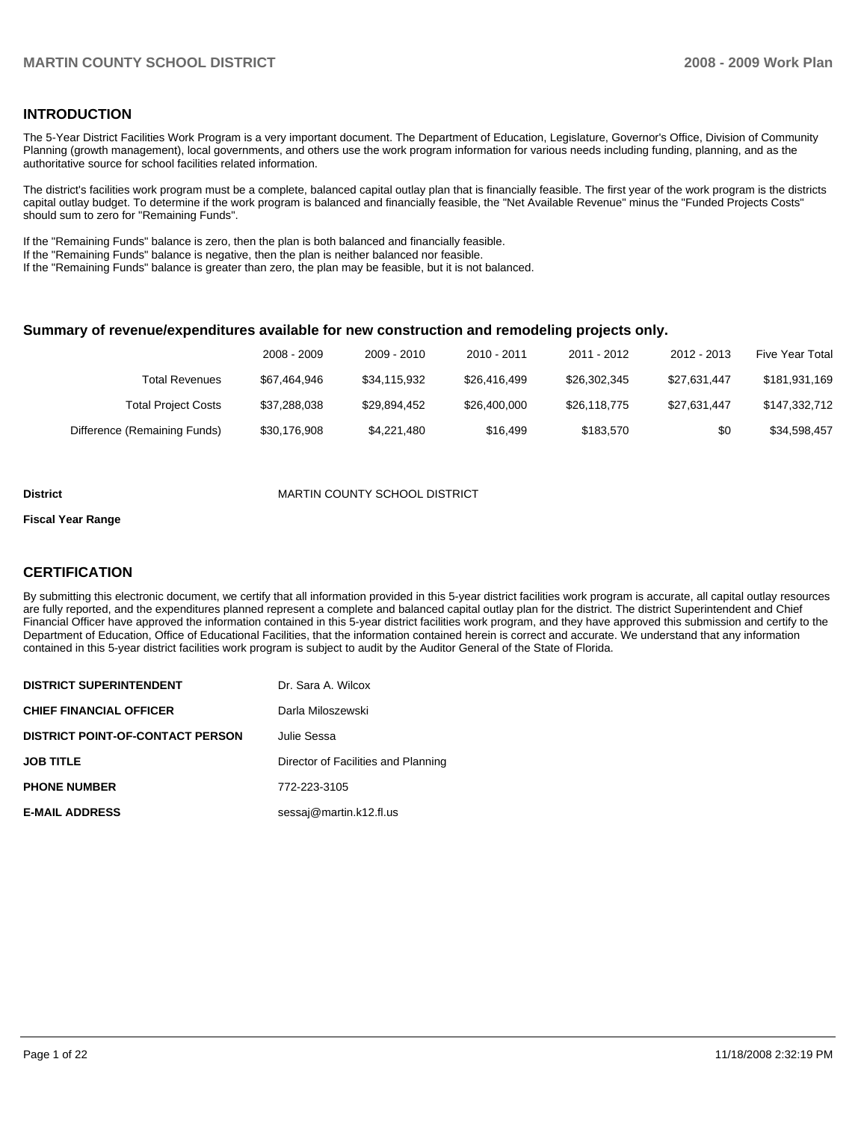### **INTRODUCTION**

The 5-Year District Facilities Work Program is a very important document. The Department of Education, Legislature, Governor's Office, Division of Community Planning (growth management), local governments, and others use the work program information for various needs including funding, planning, and as the authoritative source for school facilities related information.

The district's facilities work program must be a complete, balanced capital outlay plan that is financially feasible. The first year of the work program is the districts capital outlay budget. To determine if the work program is balanced and financially feasible, the "Net Available Revenue" minus the "Funded Projects Costs" should sum to zero for "Remaining Funds".

If the "Remaining Funds" balance is zero, then the plan is both balanced and financially feasible.

If the "Remaining Funds" balance is negative, then the plan is neither balanced nor feasible.

If the "Remaining Funds" balance is greater than zero, the plan may be feasible, but it is not balanced.

### **Summary of revenue/expenditures available for new construction and remodeling projects only.**

|                              | 2008 - 2009  | 2009 - 2010  | 2010 - 2011  | 2011 - 2012  | 2012 - 2013  | <b>Five Year Total</b> |
|------------------------------|--------------|--------------|--------------|--------------|--------------|------------------------|
| <b>Total Revenues</b>        | \$67.464.946 | \$34.115.932 | \$26.416.499 | \$26.302.345 | \$27.631.447 | \$181,931,169          |
| <b>Total Project Costs</b>   | \$37,288,038 | \$29.894.452 | \$26,400,000 | \$26.118.775 | \$27.631.447 | \$147,332,712          |
| Difference (Remaining Funds) | \$30,176,908 | \$4,221,480  | \$16.499     | \$183.570    | \$0          | \$34,598,457           |

#### **District** MARTIN COUNTY SCHOOL DISTRICT

#### **Fiscal Year Range**

### **CERTIFICATION**

By submitting this electronic document, we certify that all information provided in this 5-year district facilities work program is accurate, all capital outlay resources are fully reported, and the expenditures planned represent a complete and balanced capital outlay plan for the district. The district Superintendent and Chief Financial Officer have approved the information contained in this 5-year district facilities work program, and they have approved this submission and certify to the Department of Education, Office of Educational Facilities, that the information contained herein is correct and accurate. We understand that any information contained in this 5-year district facilities work program is subject to audit by the Auditor General of the State of Florida.

| <b>DISTRICT SUPERINTENDENT</b>          | Dr. Sara A. Wilcox                  |
|-----------------------------------------|-------------------------------------|
| <b>CHIEF FINANCIAL OFFICER</b>          | Darla Miloszewski                   |
| <b>DISTRICT POINT-OF-CONTACT PERSON</b> | Julie Sessa                         |
| <b>JOB TITLE</b>                        | Director of Facilities and Planning |
| <b>PHONE NUMBER</b>                     | 772-223-3105                        |
| <b>E-MAIL ADDRESS</b>                   | sessaj@martin.k12.fl.us             |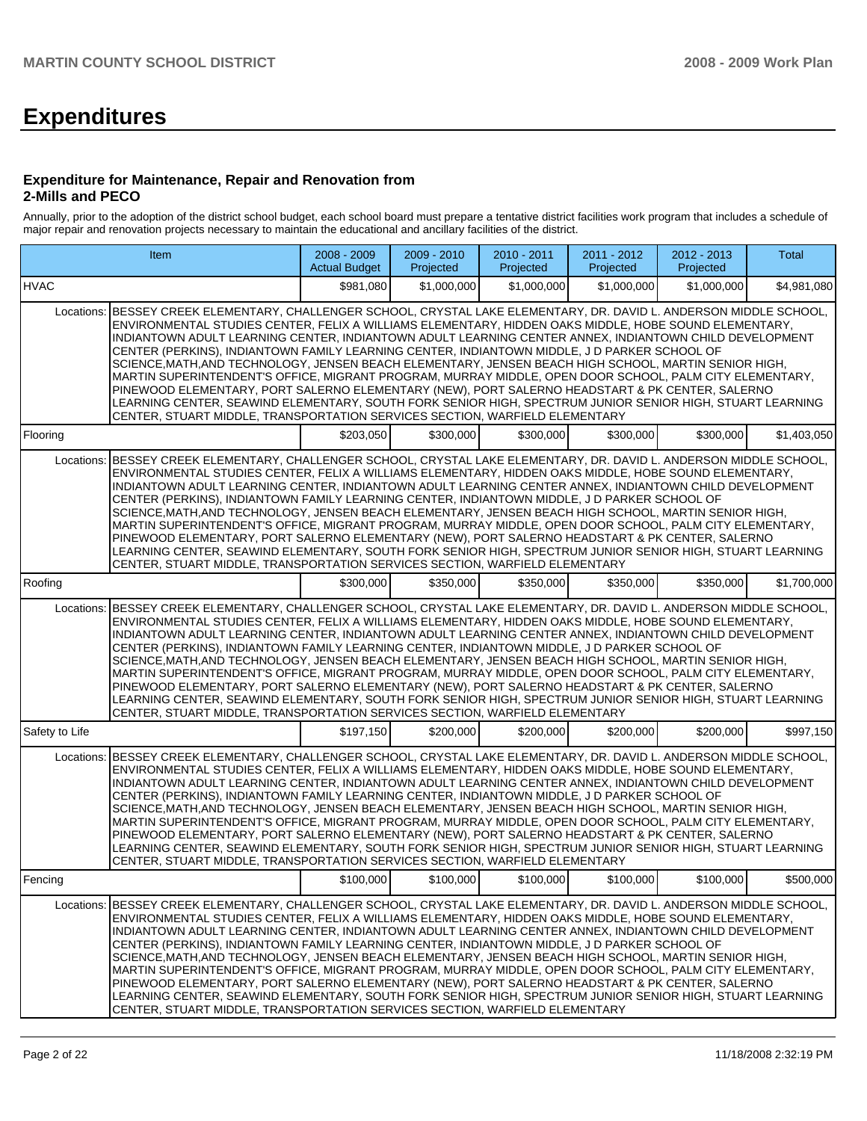# **Expenditures**

### **Expenditure for Maintenance, Repair and Renovation from 2-Mills and PECO**

Annually, prior to the adoption of the district school budget, each school board must prepare a tentative district facilities work program that includes a schedule of major repair and renovation projects necessary to maintain the educational and ancillary facilities of the district.

|                | Item                                                                                                                                                                                                                                                                                                                                                                                                                                                                                                                                                                                                                                                                                                                                                                                                                                                                                                                                                       | $2008 - 2009$<br><b>Actual Budget</b> | 2009 - 2010<br>Projected | 2010 - 2011<br>Projected | 2011 - 2012<br>Projected | 2012 - 2013<br>Projected | Total       |
|----------------|------------------------------------------------------------------------------------------------------------------------------------------------------------------------------------------------------------------------------------------------------------------------------------------------------------------------------------------------------------------------------------------------------------------------------------------------------------------------------------------------------------------------------------------------------------------------------------------------------------------------------------------------------------------------------------------------------------------------------------------------------------------------------------------------------------------------------------------------------------------------------------------------------------------------------------------------------------|---------------------------------------|--------------------------|--------------------------|--------------------------|--------------------------|-------------|
| <b>HVAC</b>    |                                                                                                                                                                                                                                                                                                                                                                                                                                                                                                                                                                                                                                                                                                                                                                                                                                                                                                                                                            | \$981.080                             | \$1,000,000              | \$1,000,000              | \$1,000,000              | \$1,000,000              | \$4,981,080 |
|                | Locations: BESSEY CREEK ELEMENTARY, CHALLENGER SCHOOL, CRYSTAL LAKE ELEMENTARY, DR. DAVID L. ANDERSON MIDDLE SCHOOL,<br>ENVIRONMENTAL STUDIES CENTER, FELIX A WILLIAMS ELEMENTARY, HIDDEN OAKS MIDDLE, HOBE SOUND ELEMENTARY,<br>INDIANTOWN ADULT LEARNING CENTER, INDIANTOWN ADULT LEARNING CENTER ANNEX, INDIANTOWN CHILD DEVELOPMENT<br>CENTER (PERKINS), INDIANTOWN FAMILY LEARNING CENTER, INDIANTOWN MIDDLE, J D PARKER SCHOOL OF<br>SCIENCE, MATH, AND TECHNOLOGY, JENSEN BEACH ELEMENTARY, JENSEN BEACH HIGH SCHOOL, MARTIN SENIOR HIGH,<br>MARTIN SUPERINTENDENT'S OFFICE, MIGRANT PROGRAM, MURRAY MIDDLE, OPEN DOOR SCHOOL, PALM CITY ELEMENTARY,<br>PINEWOOD ELEMENTARY, PORT SALERNO ELEMENTARY (NEW), PORT SALERNO HEADSTART & PK CENTER, SALERNO<br>LEARNING CENTER, SEAWIND ELEMENTARY, SOUTH FORK SENIOR HIGH, SPECTRUM JUNIOR SENIOR HIGH, STUART LEARNING<br>CENTER, STUART MIDDLE, TRANSPORTATION SERVICES SECTION, WARFIELD ELEMENTARY |                                       |                          |                          |                          |                          |             |
| Flooring       |                                                                                                                                                                                                                                                                                                                                                                                                                                                                                                                                                                                                                                                                                                                                                                                                                                                                                                                                                            | \$203,050                             | \$300,000                | \$300,000                | \$300,000                | \$300,000                | \$1,403,050 |
| Locations:     | BESSEY CREEK ELEMENTARY, CHALLENGER SCHOOL, CRYSTAL LAKE ELEMENTARY, DR. DAVID L. ANDERSON MIDDLE SCHOOL,<br>ENVIRONMENTAL STUDIES CENTER, FELIX A WILLIAMS ELEMENTARY, HIDDEN OAKS MIDDLE, HOBE SOUND ELEMENTARY,<br>INDIANTOWN ADULT LEARNING CENTER, INDIANTOWN ADULT LEARNING CENTER ANNEX, INDIANTOWN CHILD DEVELOPMENT<br>CENTER (PERKINS), INDIANTOWN FAMILY LEARNING CENTER, INDIANTOWN MIDDLE, J D PARKER SCHOOL OF<br>SCIENCE, MATH, AND TECHNOLOGY, JENSEN BEACH ELEMENTARY, JENSEN BEACH HIGH SCHOOL, MARTIN SENIOR HIGH,<br>MARTIN SUPERINTENDENT'S OFFICE, MIGRANT PROGRAM, MURRAY MIDDLE, OPEN DOOR SCHOOL, PALM CITY ELEMENTARY,<br>PINEWOOD ELEMENTARY, PORT SALERNO ELEMENTARY (NEW), PORT SALERNO HEADSTART & PK CENTER, SALERNO<br>LEARNING CENTER. SEAWIND ELEMENTARY. SOUTH FORK SENIOR HIGH. SPECTRUM JUNIOR SENIOR HIGH. STUART LEARNING<br>CENTER, STUART MIDDLE, TRANSPORTATION SERVICES SECTION, WARFIELD ELEMENTARY            |                                       |                          |                          |                          |                          |             |
| Roofing        |                                                                                                                                                                                                                                                                                                                                                                                                                                                                                                                                                                                                                                                                                                                                                                                                                                                                                                                                                            | \$300,000                             | \$350,000                | \$350,000                | \$350,000                | \$350,000                | \$1,700,000 |
| Locations:     | BESSEY CREEK ELEMENTARY, CHALLENGER SCHOOL, CRYSTAL LAKE ELEMENTARY, DR. DAVID L. ANDERSON MIDDLE SCHOOL,<br>ENVIRONMENTAL STUDIES CENTER, FELIX A WILLIAMS ELEMENTARY, HIDDEN OAKS MIDDLE, HOBE SOUND ELEMENTARY,<br>INDIANTOWN ADULT LEARNING CENTER, INDIANTOWN ADULT LEARNING CENTER ANNEX, INDIANTOWN CHILD DEVELOPMENT<br>CENTER (PERKINS), INDIANTOWN FAMILY LEARNING CENTER, INDIANTOWN MIDDLE, J D PARKER SCHOOL OF<br>SCIENCE, MATH, AND TECHNOLOGY, JENSEN BEACH ELEMENTARY, JENSEN BEACH HIGH SCHOOL, MARTIN SENIOR HIGH,<br>MARTIN SUPERINTENDENT'S OFFICE, MIGRANT PROGRAM, MURRAY MIDDLE, OPEN DOOR SCHOOL, PALM CITY ELEMENTARY,<br>PINEWOOD ELEMENTARY, PORT SALERNO ELEMENTARY (NEW), PORT SALERNO HEADSTART & PK CENTER, SALERNO<br>LEARNING CENTER, SEAWIND ELEMENTARY, SOUTH FORK SENIOR HIGH, SPECTRUM JUNIOR SENIOR HIGH, STUART LEARNING<br>CENTER, STUART MIDDLE, TRANSPORTATION SERVICES SECTION, WARFIELD ELEMENTARY            |                                       |                          |                          |                          |                          |             |
| Safety to Life |                                                                                                                                                                                                                                                                                                                                                                                                                                                                                                                                                                                                                                                                                                                                                                                                                                                                                                                                                            | \$197,150                             | \$200,000                | \$200,000                | \$200,000                | \$200,000                | \$997,150   |
| Locations:     | BESSEY CREEK ELEMENTARY, CHALLENGER SCHOOL, CRYSTAL LAKE ELEMENTARY, DR. DAVID L. ANDERSON MIDDLE SCHOOL,<br>ENVIRONMENTAL STUDIES CENTER, FELIX A WILLIAMS ELEMENTARY, HIDDEN OAKS MIDDLE, HOBE SOUND ELEMENTARY,<br>INDIANTOWN ADULT LEARNING CENTER, INDIANTOWN ADULT LEARNING CENTER ANNEX, INDIANTOWN CHILD DEVELOPMENT<br>CENTER (PERKINS), INDIANTOWN FAMILY LEARNING CENTER, INDIANTOWN MIDDLE, J D PARKER SCHOOL OF<br>SCIENCE, MATH, AND TECHNOLOGY, JENSEN BEACH ELEMENTARY, JENSEN BEACH HIGH SCHOOL, MARTIN SENIOR HIGH,<br>MARTIN SUPERINTENDENT'S OFFICE, MIGRANT PROGRAM, MURRAY MIDDLE, OPEN DOOR SCHOOL, PALM CITY ELEMENTARY,<br>PINEWOOD ELEMENTARY, PORT SALERNO ELEMENTARY (NEW), PORT SALERNO HEADSTART & PK CENTER, SALERNO<br>LEARNING CENTER, SEAWIND ELEMENTARY, SOUTH FORK SENIOR HIGH, SPECTRUM JUNIOR SENIOR HIGH, STUART LEARNING<br>CENTER, STUART MIDDLE, TRANSPORTATION SERVICES SECTION, WARFIELD ELEMENTARY            |                                       |                          |                          |                          |                          |             |
| Fencing        |                                                                                                                                                                                                                                                                                                                                                                                                                                                                                                                                                                                                                                                                                                                                                                                                                                                                                                                                                            | \$100,000                             | \$100,000                | \$100,000                | \$100,000                | \$100,000                | \$500,000   |
| Locations:     | BESSEY CREEK ELEMENTARY, CHALLENGER SCHOOL, CRYSTAL LAKE ELEMENTARY, DR. DAVID L. ANDERSON MIDDLE SCHOOL,<br>ENVIRONMENTAL STUDIES CENTER, FELIX A WILLIAMS ELEMENTARY, HIDDEN OAKS MIDDLE, HOBE SOUND ELEMENTARY,<br>INDIANTOWN ADULT LEARNING CENTER, INDIANTOWN ADULT LEARNING CENTER ANNEX, INDIANTOWN CHILD DEVELOPMENT<br>CENTER (PERKINS), INDIANTOWN FAMILY LEARNING CENTER, INDIANTOWN MIDDLE, J D PARKER SCHOOL OF<br>SCIENCE, MATH, AND TECHNOLOGY, JENSEN BEACH ELEMENTARY, JENSEN BEACH HIGH SCHOOL, MARTIN SENIOR HIGH,<br>MARTIN SUPERINTENDENT'S OFFICE, MIGRANT PROGRAM, MURRAY MIDDLE, OPEN DOOR SCHOOL, PALM CITY ELEMENTARY,<br>PINEWOOD ELEMENTARY, PORT SALERNO ELEMENTARY (NEW), PORT SALERNO HEADSTART & PK CENTER, SALERNO<br>LEARNING CENTER, SEAWIND ELEMENTARY, SOUTH FORK SENIOR HIGH, SPECTRUM JUNIOR SENIOR HIGH, STUART LEARNING<br>CENTER, STUART MIDDLE, TRANSPORTATION SERVICES SECTION, WARFIELD ELEMENTARY            |                                       |                          |                          |                          |                          |             |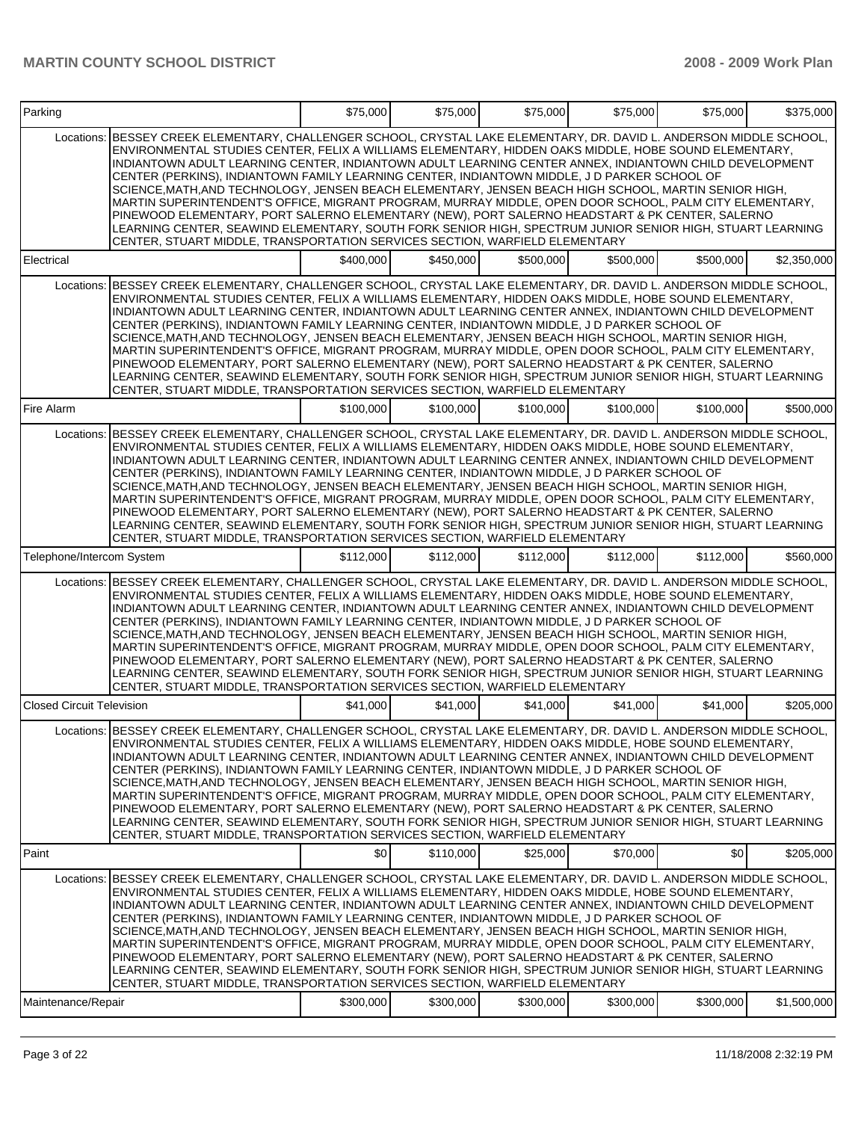# **MARTIN COUNTY SCHOOL DISTRICT 2008 - 2009 Work Plan**

| Parking                          |                                                                                                                                                                                                                                                                                                                                                                                                                                                                                                                                                                                                                                                                                                                                                                                                                                                                                                                                                            | \$75,000  | \$75,000  | \$75,000  | \$75,000  | \$75,000  | \$375,000   |
|----------------------------------|------------------------------------------------------------------------------------------------------------------------------------------------------------------------------------------------------------------------------------------------------------------------------------------------------------------------------------------------------------------------------------------------------------------------------------------------------------------------------------------------------------------------------------------------------------------------------------------------------------------------------------------------------------------------------------------------------------------------------------------------------------------------------------------------------------------------------------------------------------------------------------------------------------------------------------------------------------|-----------|-----------|-----------|-----------|-----------|-------------|
| Locations:                       | BESSEY CREEK ELEMENTARY, CHALLENGER SCHOOL, CRYSTAL LAKE ELEMENTARY, DR. DAVID L. ANDERSON MIDDLE SCHOOL,<br>ENVIRONMENTAL STUDIES CENTER, FELIX A WILLIAMS ELEMENTARY, HIDDEN OAKS MIDDLE, HOBE SOUND ELEMENTARY,<br>INDIANTOWN ADULT LEARNING CENTER, INDIANTOWN ADULT LEARNING CENTER ANNEX, INDIANTOWN CHILD DEVELOPMENT<br>CENTER (PERKINS), INDIANTOWN FAMILY LEARNING CENTER, INDIANTOWN MIDDLE, J D PARKER SCHOOL OF<br>SCIENCE, MATH, AND TECHNOLOGY, JENSEN BEACH ELEMENTARY, JENSEN BEACH HIGH SCHOOL, MARTIN SENIOR HIGH,<br>MARTIN SUPERINTENDENT'S OFFICE, MIGRANT PROGRAM, MURRAY MIDDLE, OPEN DOOR SCHOOL, PALM CITY ELEMENTARY,<br>PINEWOOD ELEMENTARY, PORT SALERNO ELEMENTARY (NEW), PORT SALERNO HEADSTART & PK CENTER, SALERNO<br>LEARNING CENTER, SEAWIND ELEMENTARY, SOUTH FORK SENIOR HIGH, SPECTRUM JUNIOR SENIOR HIGH, STUART LEARNING<br>CENTER, STUART MIDDLE, TRANSPORTATION SERVICES SECTION, WARFIELD ELEMENTARY            |           |           |           |           |           |             |
| Electrical                       |                                                                                                                                                                                                                                                                                                                                                                                                                                                                                                                                                                                                                                                                                                                                                                                                                                                                                                                                                            | \$400,000 | \$450.000 | \$500.000 | \$500,000 | \$500,000 | \$2,350,000 |
| Locations:                       | BESSEY CREEK ELEMENTARY, CHALLENGER SCHOOL, CRYSTAL LAKE ELEMENTARY, DR. DAVID L. ANDERSON MIDDLE SCHOOL,<br>ENVIRONMENTAL STUDIES CENTER. FELIX A WILLIAMS ELEMENTARY, HIDDEN OAKS MIDDLE, HOBE SOUND ELEMENTARY.<br>INDIANTOWN ADULT LEARNING CENTER, INDIANTOWN ADULT LEARNING CENTER ANNEX, INDIANTOWN CHILD DEVELOPMENT<br>CENTER (PERKINS), INDIANTOWN FAMILY LEARNING CENTER, INDIANTOWN MIDDLE, J D PARKER SCHOOL OF<br>SCIENCE, MATH, AND TECHNOLOGY, JENSEN BEACH ELEMENTARY, JENSEN BEACH HIGH SCHOOL, MARTIN SENIOR HIGH,<br>MARTIN SUPERINTENDENT'S OFFICE, MIGRANT PROGRAM, MURRAY MIDDLE, OPEN DOOR SCHOOL, PALM CITY ELEMENTARY,<br>PINEWOOD ELEMENTARY, PORT SALERNO ELEMENTARY (NEW), PORT SALERNO HEADSTART & PK CENTER, SALERNO<br>LEARNING CENTER, SEAWIND ELEMENTARY, SOUTH FORK SENIOR HIGH, SPECTRUM JUNIOR SENIOR HIGH, STUART LEARNING<br>CENTER, STUART MIDDLE, TRANSPORTATION SERVICES SECTION, WARFIELD ELEMENTARY            |           |           |           |           |           |             |
| Fire Alarm                       |                                                                                                                                                                                                                                                                                                                                                                                                                                                                                                                                                                                                                                                                                                                                                                                                                                                                                                                                                            | \$100.000 | \$100,000 | \$100.000 | \$100,000 | \$100,000 | \$500,000   |
| Locations:                       | IBESSEY CREEK ELEMENTARY, CHALLENGER SCHOOL, CRYSTAL LAKE ELEMENTARY, DR. DAVID L. ANDERSON MIDDLE SCHOOL,<br>ENVIRONMENTAL STUDIES CENTER, FELIX A WILLIAMS ELEMENTARY, HIDDEN OAKS MIDDLE, HOBE SOUND ELEMENTARY,<br>INDIANTOWN ADULT LEARNING CENTER, INDIANTOWN ADULT LEARNING CENTER ANNEX, INDIANTOWN CHILD DEVELOPMENT<br>CENTER (PERKINS), INDIANTOWN FAMILY LEARNING CENTER, INDIANTOWN MIDDLE, J D PARKER SCHOOL OF<br>SCIENCE, MATH, AND TECHNOLOGY, JENSEN BEACH ELEMENTARY, JENSEN BEACH HIGH SCHOOL, MARTIN SENIOR HIGH,<br>MARTIN SUPERINTENDENT'S OFFICE, MIGRANT PROGRAM, MURRAY MIDDLE, OPEN DOOR SCHOOL, PALM CITY ELEMENTARY,<br>PINEWOOD ELEMENTARY, PORT SALERNO ELEMENTARY (NEW), PORT SALERNO HEADSTART & PK CENTER, SALERNO<br>LEARNING CENTER, SEAWIND ELEMENTARY, SOUTH FORK SENIOR HIGH, SPECTRUM JUNIOR SENIOR HIGH, STUART LEARNING<br>CENTER, STUART MIDDLE, TRANSPORTATION SERVICES SECTION, WARFIELD ELEMENTARY           |           |           |           |           |           |             |
| Telephone/Intercom System        |                                                                                                                                                                                                                                                                                                                                                                                                                                                                                                                                                                                                                                                                                                                                                                                                                                                                                                                                                            | \$112,000 | \$112,000 | \$112,000 | \$112,000 | \$112,000 | \$560,000   |
|                                  | Locations: BESSEY CREEK ELEMENTARY, CHALLENGER SCHOOL, CRYSTAL LAKE ELEMENTARY, DR. DAVID L. ANDERSON MIDDLE SCHOOL,<br>ENVIRONMENTAL STUDIES CENTER, FELIX A WILLIAMS ELEMENTARY, HIDDEN OAKS MIDDLE, HOBE SOUND ELEMENTARY,<br>INDIANTOWN ADULT LEARNING CENTER, INDIANTOWN ADULT LEARNING CENTER ANNEX, INDIANTOWN CHILD DEVELOPMENT<br>CENTER (PERKINS), INDIANTOWN FAMILY LEARNING CENTER, INDIANTOWN MIDDLE, J D PARKER SCHOOL OF<br>SCIENCE, MATH, AND TECHNOLOGY, JENSEN BEACH ELEMENTARY, JENSEN BEACH HIGH SCHOOL, MARTIN SENIOR HIGH,<br>MARTIN SUPERINTENDENT'S OFFICE, MIGRANT PROGRAM, MURRAY MIDDLE, OPEN DOOR SCHOOL, PALM CITY ELEMENTARY,<br>PINEWOOD ELEMENTARY, PORT SALERNO ELEMENTARY (NEW), PORT SALERNO HEADSTART & PK CENTER, SALERNO<br>LEARNING CENTER, SEAWIND ELEMENTARY, SOUTH FORK SENIOR HIGH, SPECTRUM JUNIOR SENIOR HIGH, STUART LEARNING<br>CENTER, STUART MIDDLE, TRANSPORTATION SERVICES SECTION, WARFIELD ELEMENTARY |           |           |           |           |           |             |
| <b>Closed Circuit Television</b> |                                                                                                                                                                                                                                                                                                                                                                                                                                                                                                                                                                                                                                                                                                                                                                                                                                                                                                                                                            | \$41,000  | \$41,000  | \$41,000  | \$41,000  | \$41,000  | \$205,000   |
|                                  | Locations: BESSEY CREEK ELEMENTARY. CHALLENGER SCHOOL. CRYSTAL LAKE ELEMENTARY. DR. DAVID L. ANDERSON MIDDLE SCHOOL<br>ENVIRONMENTAL STUDIES CENTER, FELIX A WILLIAMS ELEMENTARY, HIDDEN OAKS MIDDLE, HOBE SOUND ELEMENTARY,<br>INDIANTOWN ADULT LEARNING CENTER, INDIANTOWN ADULT LEARNING CENTER ANNEX, INDIANTOWN CHILD DEVELOPMENT<br>CENTER (PERKINS), INDIANTOWN FAMILY LEARNING CENTER, INDIANTOWN MIDDLE, J D PARKER SCHOOL OF<br>SCIENCE, MATH, AND TECHNOLOGY, JENSEN BEACH ELEMENTARY, JENSEN BEACH HIGH SCHOOL, MARTIN SENIOR HIGH,<br>MARTIN SUPERINTENDENT'S OFFICE, MIGRANT PROGRAM, MURRAY MIDDLE, OPEN DOOR SCHOOL, PALM CITY ELEMENTARY,<br>PINEWOOD ELEMENTARY, PORT SALERNO ELEMENTARY (NEW), PORT SALERNO HEADSTART & PK CENTER, SALERNO<br>LEARNING CENTER, SEAWIND ELEMENTARY, SOUTH FORK SENIOR HIGH, SPECTRUM JUNIOR SENIOR HIGH, STUART LEARNING<br>CENTER, STUART MIDDLE, TRANSPORTATION SERVICES SECTION, WARFIELD ELEMENTARY  |           |           |           |           |           |             |
| Paint                            |                                                                                                                                                                                                                                                                                                                                                                                                                                                                                                                                                                                                                                                                                                                                                                                                                                                                                                                                                            | \$0       | \$110,000 | \$25,000  | \$70,000  | \$0       | \$205,000   |
| Locations:<br>Maintenance/Repair | BESSEY CREEK ELEMENTARY, CHALLENGER SCHOOL, CRYSTAL LAKE ELEMENTARY, DR. DAVID L. ANDERSON MIDDLE SCHOOL,<br>ENVIRONMENTAL STUDIES CENTER, FELIX A WILLIAMS ELEMENTARY, HIDDEN OAKS MIDDLE, HOBE SOUND ELEMENTARY,<br>INDIANTOWN ADULT LEARNING CENTER, INDIANTOWN ADULT LEARNING CENTER ANNEX, INDIANTOWN CHILD DEVELOPMENT<br>CENTER (PERKINS), INDIANTOWN FAMILY LEARNING CENTER, INDIANTOWN MIDDLE, J D PARKER SCHOOL OF<br>SCIENCE, MATH, AND TECHNOLOGY, JENSEN BEACH ELEMENTARY, JENSEN BEACH HIGH SCHOOL, MARTIN SENIOR HIGH,<br>MARTIN SUPERINTENDENT'S OFFICE, MIGRANT PROGRAM, MURRAY MIDDLE, OPEN DOOR SCHOOL, PALM CITY ELEMENTARY,<br>PINEWOOD ELEMENTARY, PORT SALERNO ELEMENTARY (NEW), PORT SALERNO HEADSTART & PK CENTER, SALERNO<br>LEARNING CENTER, SEAWIND ELEMENTARY, SOUTH FORK SENIOR HIGH, SPECTRUM JUNIOR SENIOR HIGH, STUART LEARNING<br>CENTER, STUART MIDDLE, TRANSPORTATION SERVICES SECTION, WARFIELD ELEMENTARY            | \$300,000 | \$300,000 | \$300,000 | \$300,000 | \$300,000 | \$1,500,000 |
|                                  |                                                                                                                                                                                                                                                                                                                                                                                                                                                                                                                                                                                                                                                                                                                                                                                                                                                                                                                                                            |           |           |           |           |           |             |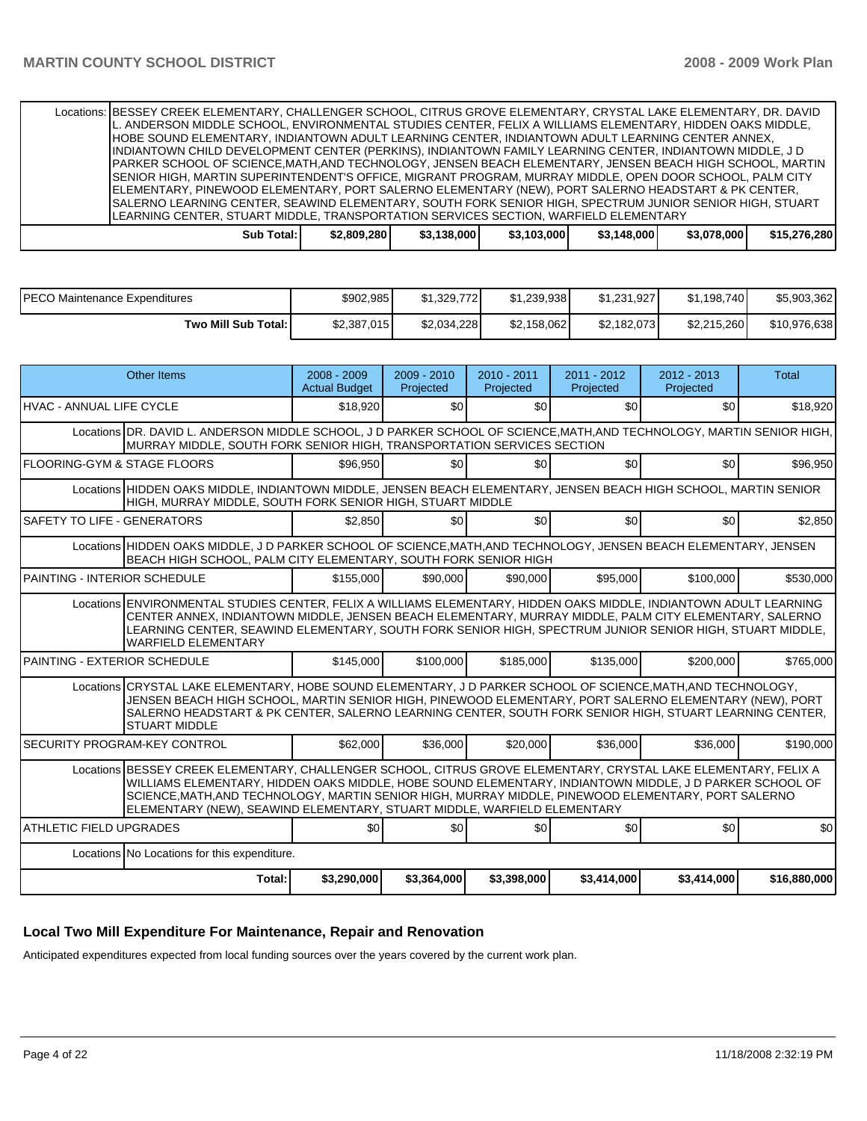Locations: BESSEY CREEK ELEMENTARY, CHALLENGER SCHOOL, CITRUS GROVE ELEMENTARY, CRYSTAL LAKE ELEMENTARY, DR. DAVID L. ANDERSON MIDDLE SCHOOL, ENVIRONMENTAL STUDIES CENTER, FELIX A WILLIAMS ELEMENTARY, HIDDEN OAKS MIDDLE, HOBE SOUND ELEMENTARY, INDIANTOWN ADULT LEARNING CENTER, INDIANTOWN ADULT LEARNING CENTER ANNEX, INDIANTOWN CHILD DEVELOPMENT CENTER (PERKINS), INDIANTOWN FAMILY LEARNING CENTER, INDIANTOWN MIDDLE, J D PARKER SCHOOL OF SCIENCE,MATH,AND TECHNOLOGY, JENSEN BEACH ELEMENTARY, JENSEN BEACH HIGH SCHOOL, MARTIN SENIOR HIGH, MARTIN SUPERINTENDENT'S OFFICE, MIGRANT PROGRAM, MURRAY MIDDLE, OPEN DOOR SCHOOL, PALM CITY ELEMENTARY, PINEWOOD ELEMENTARY, PORT SALERNO ELEMENTARY (NEW), PORT SALERNO HEADSTART & PK CENTER, SALERNO LEARNING CENTER, SEAWIND ELEMENTARY, SOUTH FORK SENIOR HIGH, SPECTRUM JUNIOR SENIOR HIGH, STUART LEARNING CENTER, STUART MIDDLE, TRANSPORTATION SERVICES SECTION, WARFIELD ELEMENTARY **Sub Total: \$2,809,280 \$3,138,000 \$3,103,000 \$3,148,000 \$3,078,000 \$15,276,280** 

| PECO Maintenance Expenditures | \$902,985   | \$1.329.772 | \$1,239,938 | \$1.231.927 | \$1,198,740 | \$5,903,362  |
|-------------------------------|-------------|-------------|-------------|-------------|-------------|--------------|
| Two Mill Sub Total:           | \$2,387,015 | \$2.034.228 | \$2,158,062 | \$2,182,073 | \$2,215,260 | \$10,976,638 |

| <b>Other Items</b>                                                                                                                                                                                                                                                                                                                                                                                            | $2008 - 2009$<br><b>Actual Budget</b> | $2009 - 2010$<br>Projected | $2010 - 2011$<br>Projected | $2011 - 2012$<br>Projected | $2012 - 2013$<br>Projected | Total        |  |  |  |  |
|---------------------------------------------------------------------------------------------------------------------------------------------------------------------------------------------------------------------------------------------------------------------------------------------------------------------------------------------------------------------------------------------------------------|---------------------------------------|----------------------------|----------------------------|----------------------------|----------------------------|--------------|--|--|--|--|
| HVAC - ANNUAL LIFE CYCLE                                                                                                                                                                                                                                                                                                                                                                                      | \$18,920                              | \$0                        | \$0                        | \$0                        | \$0                        | \$18,920     |  |  |  |  |
| Locations DR. DAVID L. ANDERSON MIDDLE SCHOOL, J D PARKER SCHOOL OF SCIENCE, MATH, AND TECHNOLOGY, MARTIN SENIOR HIGH,<br>MURRAY MIDDLE, SOUTH FORK SENIOR HIGH, TRANSPORTATION SERVICES SECTION                                                                                                                                                                                                              |                                       |                            |                            |                            |                            |              |  |  |  |  |
| FLOORING-GYM & STAGE FLOORS                                                                                                                                                                                                                                                                                                                                                                                   | \$96.950                              | \$0 <sub>1</sub>           | \$0 <sub>l</sub>           | \$0                        | \$0                        | \$96,950     |  |  |  |  |
| Locations HIDDEN OAKS MIDDLE, INDIANTOWN MIDDLE, JENSEN BEACH ELEMENTARY, JENSEN BEACH HIGH SCHOOL, MARTIN SENIOR<br>HIGH, MURRAY MIDDLE, SOUTH FORK SENIOR HIGH, STUART MIDDLE                                                                                                                                                                                                                               |                                       |                            |                            |                            |                            |              |  |  |  |  |
| <b>SAFETY TO LIFE - GENERATORS</b>                                                                                                                                                                                                                                                                                                                                                                            | \$2.850                               | \$0 <sub>1</sub>           | \$0                        | \$0                        | \$0                        | \$2,850      |  |  |  |  |
| Locations HIDDEN OAKS MIDDLE, J D PARKER SCHOOL OF SCIENCE, MATH, AND TECHNOLOGY, JENSEN BEACH ELEMENTARY, JENSEN<br>BEACH HIGH SCHOOL, PALM CITY ELEMENTARY, SOUTH FORK SENIOR HIGH                                                                                                                                                                                                                          |                                       |                            |                            |                            |                            |              |  |  |  |  |
| PAINTING - INTERIOR SCHEDULE                                                                                                                                                                                                                                                                                                                                                                                  | \$155,000                             | \$90,000                   | \$90,000                   | \$95,000                   | \$100,000                  | \$530,000    |  |  |  |  |
| Locations ENVIRONMENTAL STUDIES CENTER, FELIX A WILLIAMS ELEMENTARY, HIDDEN OAKS MIDDLE, INDIANTOWN ADULT LEARNING<br>CENTER ANNEX, INDIANTOWN MIDDLE, JENSEN BEACH ELEMENTARY, MURRAY MIDDLE, PALM CITY ELEMENTARY, SALERNO<br>LEARNING CENTER, SEAWIND ELEMENTARY, SOUTH FORK SENIOR HIGH, SPECTRUM JUNIOR SENIOR HIGH, STUART MIDDLE,<br><b>WARFIELD ELEMENTARY</b>                                        |                                       |                            |                            |                            |                            |              |  |  |  |  |
| PAINTING - EXTERIOR SCHEDULE                                                                                                                                                                                                                                                                                                                                                                                  | \$145,000                             | \$100,000                  | \$185,000                  | \$135,000                  | \$200,000                  | \$765,000    |  |  |  |  |
| Locations CRYSTAL LAKE ELEMENTARY, HOBE SOUND ELEMENTARY, J D PARKER SCHOOL OF SCIENCE, MATH, AND TECHNOLOGY,<br>JENSEN BEACH HIGH SCHOOL, MARTIN SENIOR HIGH, PINEWOOD ELEMENTARY, PORT SALERNO ELEMENTARY (NEW), PORT<br>SALERNO HEADSTART & PK CENTER, SALERNO LEARNING CENTER, SOUTH FORK SENIOR HIGH, STUART LEARNING CENTER,<br><b>STUART MIDDLE</b>                                                    |                                       |                            |                            |                            |                            |              |  |  |  |  |
| <b>SECURITY PROGRAM-KEY CONTROL</b>                                                                                                                                                                                                                                                                                                                                                                           | \$62,000                              | \$36,000                   | \$20,000                   | \$36,000                   | \$36,000                   | \$190,000    |  |  |  |  |
| Locations BESSEY CREEK ELEMENTARY, CHALLENGER SCHOOL, CITRUS GROVE ELEMENTARY, CRYSTAL LAKE ELEMENTARY, FELIX A<br>WILLIAMS ELEMENTARY, HIDDEN OAKS MIDDLE, HOBE SOUND ELEMENTARY, INDIANTOWN MIDDLE, J D PARKER SCHOOL OF<br>SCIENCE, MATH, AND TECHNOLOGY, MARTIN SENIOR HIGH, MURRAY MIDDLE, PINEWOOD ELEMENTARY, PORT SALERNO<br>ELEMENTARY (NEW), SEAWIND ELEMENTARY, STUART MIDDLE, WARFIELD ELEMENTARY |                                       |                            |                            |                            |                            |              |  |  |  |  |
| <b>ATHLETIC FIELD UPGRADES</b>                                                                                                                                                                                                                                                                                                                                                                                | \$0                                   | \$0                        | \$0                        | \$0                        | \$0                        | \$0          |  |  |  |  |
| Locations No Locations for this expenditure.                                                                                                                                                                                                                                                                                                                                                                  |                                       |                            |                            |                            |                            |              |  |  |  |  |
| Total:                                                                                                                                                                                                                                                                                                                                                                                                        | \$3,290,000                           | \$3,364,000                | \$3,398,000                | \$3,414,000                | \$3,414,000                | \$16,880,000 |  |  |  |  |

### **Local Two Mill Expenditure For Maintenance, Repair and Renovation**

Anticipated expenditures expected from local funding sources over the years covered by the current work plan.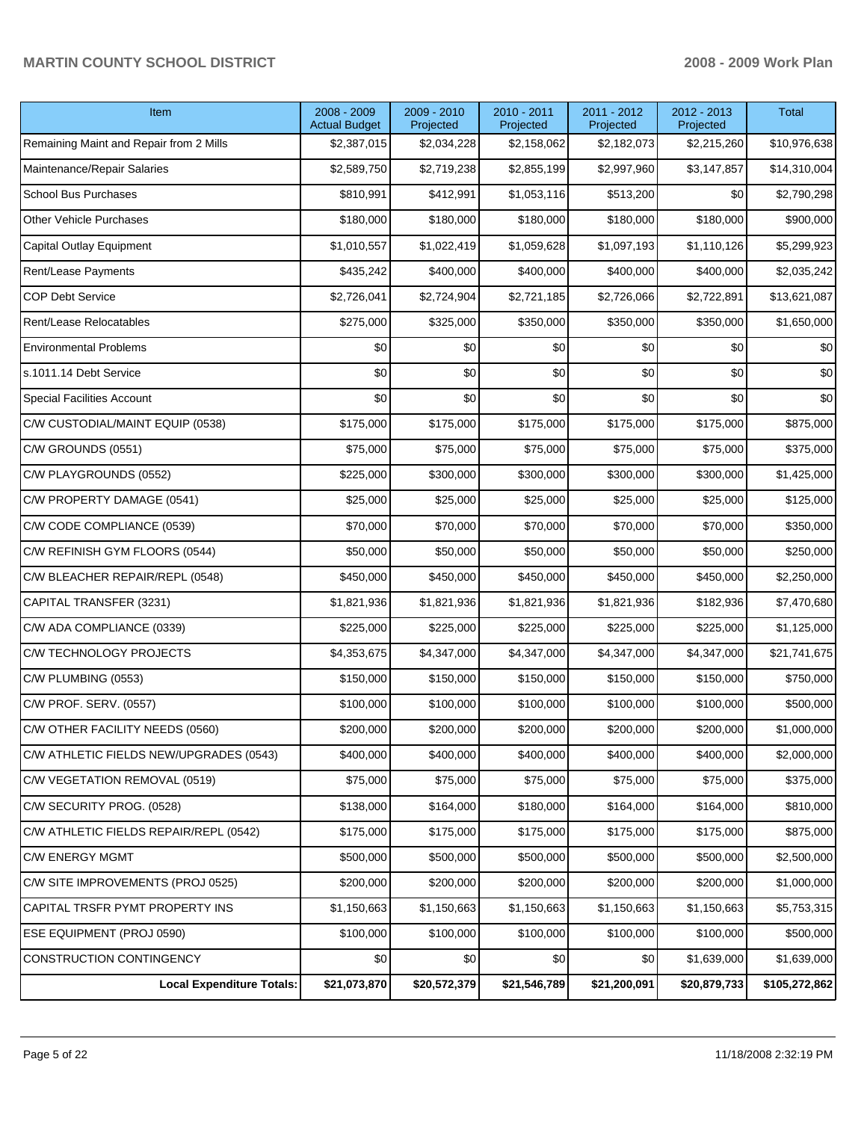# **MARTIN COUNTY SCHOOL DISTRICT 2008 - 2009 Work Plan**

| Item                                    | 2008 - 2009<br><b>Actual Budget</b> | 2009 - 2010<br>Projected | 2010 - 2011<br>Projected | 2011 - 2012<br>Projected | 2012 - 2013<br>Projected | Total         |
|-----------------------------------------|-------------------------------------|--------------------------|--------------------------|--------------------------|--------------------------|---------------|
| Remaining Maint and Repair from 2 Mills | \$2,387,015                         | \$2,034,228              | \$2,158,062              | \$2,182,073              | \$2,215,260              | \$10,976,638  |
| Maintenance/Repair Salaries             | \$2,589,750                         | \$2,719,238              | \$2,855,199              | \$2,997,960              | \$3,147,857              | \$14,310,004  |
| <b>School Bus Purchases</b>             | \$810,991                           | \$412,991                | \$1,053,116              | \$513,200                | \$0                      | \$2,790,298   |
| Other Vehicle Purchases                 | \$180,000                           | \$180,000                | \$180,000                | \$180,000                | \$180,000                | \$900,000     |
| Capital Outlay Equipment                | \$1,010,557                         | \$1,022,419              | \$1,059,628              | \$1,097,193              | \$1,110,126              | \$5,299,923   |
| Rent/Lease Payments                     | \$435,242                           | \$400,000                | \$400,000                | \$400,000                | \$400,000                | \$2,035,242   |
| <b>COP Debt Service</b>                 | \$2,726,041                         | \$2,724,904              | \$2,721,185              | \$2,726,066              | \$2,722,891              | \$13,621,087  |
| Rent/Lease Relocatables                 | \$275,000                           | \$325,000                | \$350,000                | \$350,000                | \$350,000                | \$1,650,000   |
| <b>Environmental Problems</b>           | \$0                                 | \$0                      | \$0                      | \$0                      | \$0                      | \$0           |
| s.1011.14 Debt Service                  | \$0                                 | \$0                      | \$0                      | \$0                      | \$0                      | \$0           |
| <b>Special Facilities Account</b>       | \$0                                 | \$0                      | \$0                      | \$0                      | \$0                      | \$0           |
| C/W CUSTODIAL/MAINT EQUIP (0538)        | \$175,000                           | \$175,000                | \$175,000                | \$175,000                | \$175,000                | \$875,000     |
| C/W GROUNDS (0551)                      | \$75,000                            | \$75,000                 | \$75,000                 | \$75,000                 | \$75,000                 | \$375,000     |
| C/W PLAYGROUNDS (0552)                  | \$225,000                           | \$300,000                | \$300,000                | \$300,000                | \$300,000                | \$1,425,000   |
| C/W PROPERTY DAMAGE (0541)              | \$25,000                            | \$25,000                 | \$25,000                 | \$25,000                 | \$25,000                 | \$125,000     |
| C/W CODE COMPLIANCE (0539)              | \$70,000                            | \$70,000                 | \$70,000                 | \$70,000                 | \$70,000                 | \$350,000     |
| C/W REFINISH GYM FLOORS (0544)          | \$50,000                            | \$50,000                 | \$50,000                 | \$50,000                 | \$50,000                 | \$250,000     |
| C/W BLEACHER REPAIR/REPL (0548)         | \$450,000                           | \$450,000                | \$450,000                | \$450,000                | \$450,000                | \$2,250,000   |
| CAPITAL TRANSFER (3231)                 | \$1,821,936                         | \$1,821,936              | \$1,821,936              | \$1,821,936              | \$182,936                | \$7,470,680   |
| C/W ADA COMPLIANCE (0339)               | \$225,000                           | \$225,000                | \$225,000                | \$225,000                | \$225,000                | \$1,125,000   |
| C/W TECHNOLOGY PROJECTS                 | \$4,353,675                         | \$4,347,000              | \$4,347,000              | \$4,347,000              | \$4,347,000              | \$21,741,675  |
| C/W PLUMBING (0553)                     | \$150,000                           | \$150,000                | \$150,000                | \$150,000                | \$150,000                | \$750,000     |
| C/W PROF. SERV. (0557)                  | \$100,000                           | \$100,000                | \$100,000                | \$100,000                | \$100,000                | \$500,000     |
| C/W OTHER FACILITY NEEDS (0560)         | \$200,000                           | \$200,000                | \$200,000                | \$200,000                | \$200,000                | \$1,000,000   |
| C/W ATHLETIC FIELDS NEW/UPGRADES (0543) | \$400,000                           | \$400,000                | \$400,000                | \$400,000                | \$400,000                | \$2,000,000   |
| C/W VEGETATION REMOVAL (0519)           | \$75,000                            | \$75,000                 | \$75,000                 | \$75,000                 | \$75,000                 | \$375,000     |
| C/W SECURITY PROG. (0528)               | \$138,000                           | \$164,000                | \$180,000                | \$164,000                | \$164,000                | \$810,000     |
| C/W ATHLETIC FIELDS REPAIR/REPL (0542)  | \$175,000                           | \$175,000                | \$175,000                | \$175,000                | \$175,000                | \$875,000     |
| <b>C/W ENERGY MGMT</b>                  | \$500,000                           | \$500,000                | \$500,000                | \$500,000                | \$500,000                | \$2,500,000   |
| C/W SITE IMPROVEMENTS (PROJ 0525)       | \$200,000                           | \$200,000                | \$200,000                | \$200,000                | \$200,000                | \$1,000,000   |
| CAPITAL TRSFR PYMT PROPERTY INS         | \$1,150,663                         | \$1,150,663              | \$1,150,663              | \$1,150,663              | \$1,150,663              | \$5,753,315   |
| ESE EQUIPMENT (PROJ 0590)               | \$100,000                           | \$100,000                | \$100,000                | \$100,000                | \$100,000                | \$500,000     |
| CONSTRUCTION CONTINGENCY                | \$0                                 | \$0                      | \$0                      | \$0                      | \$1,639,000              | \$1,639,000   |
| <b>Local Expenditure Totals:</b>        | \$21,073,870                        | \$20,572,379             | \$21,546,789             | \$21,200,091             | \$20,879,733             | \$105,272,862 |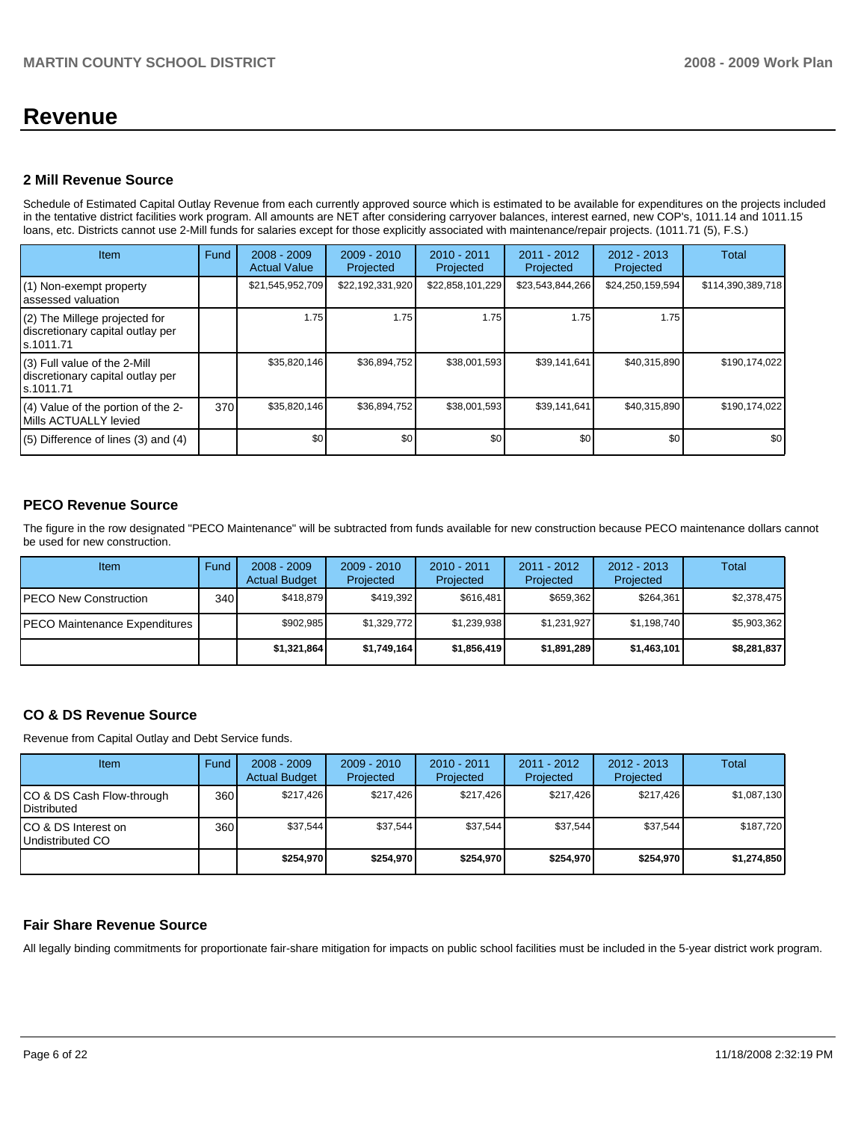# **Revenue**

### **2 Mill Revenue Source**

Schedule of Estimated Capital Outlay Revenue from each currently approved source which is estimated to be available for expenditures on the projects included in the tentative district facilities work program. All amounts are NET after considering carryover balances, interest earned, new COP's, 1011.14 and 1011.15 loans, etc. Districts cannot use 2-Mill funds for salaries except for those explicitly associated with maintenance/repair projects. (1011.71 (5), F.S.)

| Item                                                                            | Fund | $2008 - 2009$<br><b>Actual Value</b> | $2009 - 2010$<br>Projected | $2010 - 2011$<br>Projected | $2011 - 2012$<br>Projected | $2012 - 2013$<br>Projected | <b>Total</b>      |
|---------------------------------------------------------------------------------|------|--------------------------------------|----------------------------|----------------------------|----------------------------|----------------------------|-------------------|
| (1) Non-exempt property<br>assessed valuation                                   |      | \$21,545,952,709                     | \$22,192,331,920           | \$22,858,101,229           | \$23,543,844,266           | \$24,250,159,594           | \$114,390,389,718 |
| (2) The Millege projected for<br>discretionary capital outlay per<br>ls.1011.71 |      | 1.75                                 | 1.75                       | 1.75                       | 1.75                       | 1.75                       |                   |
| (3) Full value of the 2-Mill<br>discretionary capital outlay per<br>ls.1011.71  |      | \$35,820,146                         | \$36,894,752               | \$38,001,593               | \$39,141,641               | \$40,315,890               | \$190,174,022     |
| (4) Value of the portion of the 2-<br>Mills ACTUALLY levied                     | 370  | \$35,820,146                         | \$36,894,752               | \$38,001,593               | \$39,141,641               | \$40,315,890               | \$190,174,022     |
| $(5)$ Difference of lines $(3)$ and $(4)$                                       |      | \$0                                  | \$0                        | \$0                        | \$0                        | \$0                        | \$0               |

# **PECO Revenue Source**

The figure in the row designated "PECO Maintenance" will be subtracted from funds available for new construction because PECO maintenance dollars cannot be used for new construction.

| Item                                 | Fund         | $2008 - 2009$<br><b>Actual Budget</b> | $2009 - 2010$<br>Projected | $2010 - 2011$<br>Projected | 2011 - 2012<br>Projected | $2012 - 2013$<br>Projected | Total       |
|--------------------------------------|--------------|---------------------------------------|----------------------------|----------------------------|--------------------------|----------------------------|-------------|
| <b>IPECO New Construction</b>        | 340 <b>I</b> | \$418.879                             | \$419,392                  | \$616.481                  | \$659.362                | \$264,361                  | \$2,378,475 |
| <b>PECO Maintenance Expenditures</b> |              | \$902.985                             | \$1,329,772                | \$1,239,938                | \$1,231,927              | \$1,198,740                | \$5,903,362 |
|                                      |              | \$1,321,864                           | \$1,749,164                | \$1,856,419                | \$1,891,289              | \$1,463,101                | \$8,281,837 |

## **CO & DS Revenue Source**

Revenue from Capital Outlay and Debt Service funds.

| <b>Item</b>                                        | Fund | $2008 - 2009$<br><b>Actual Budget</b> | $2009 - 2010$<br>Projected | 2010 - 2011<br>Projected | 2011 - 2012<br>Projected | $2012 - 2013$<br>Projected | Total       |
|----------------------------------------------------|------|---------------------------------------|----------------------------|--------------------------|--------------------------|----------------------------|-------------|
| ICO & DS Cash Flow-through<br><b>I</b> Distributed | 360  | \$217.426                             | \$217.426                  | \$217.426                | \$217.426                | \$217.426                  | \$1,087,130 |
| ICO & DS Interest on<br>Undistributed CO           | 360  | \$37.544                              | \$37.544                   | \$37,544                 | \$37.544                 | \$37,544                   | \$187.720   |
|                                                    |      | \$254.970                             | \$254.970                  | \$254.970                | \$254.970                | \$254.970                  | \$1,274,850 |

### **Fair Share Revenue Source**

All legally binding commitments for proportionate fair-share mitigation for impacts on public school facilities must be included in the 5-year district work program.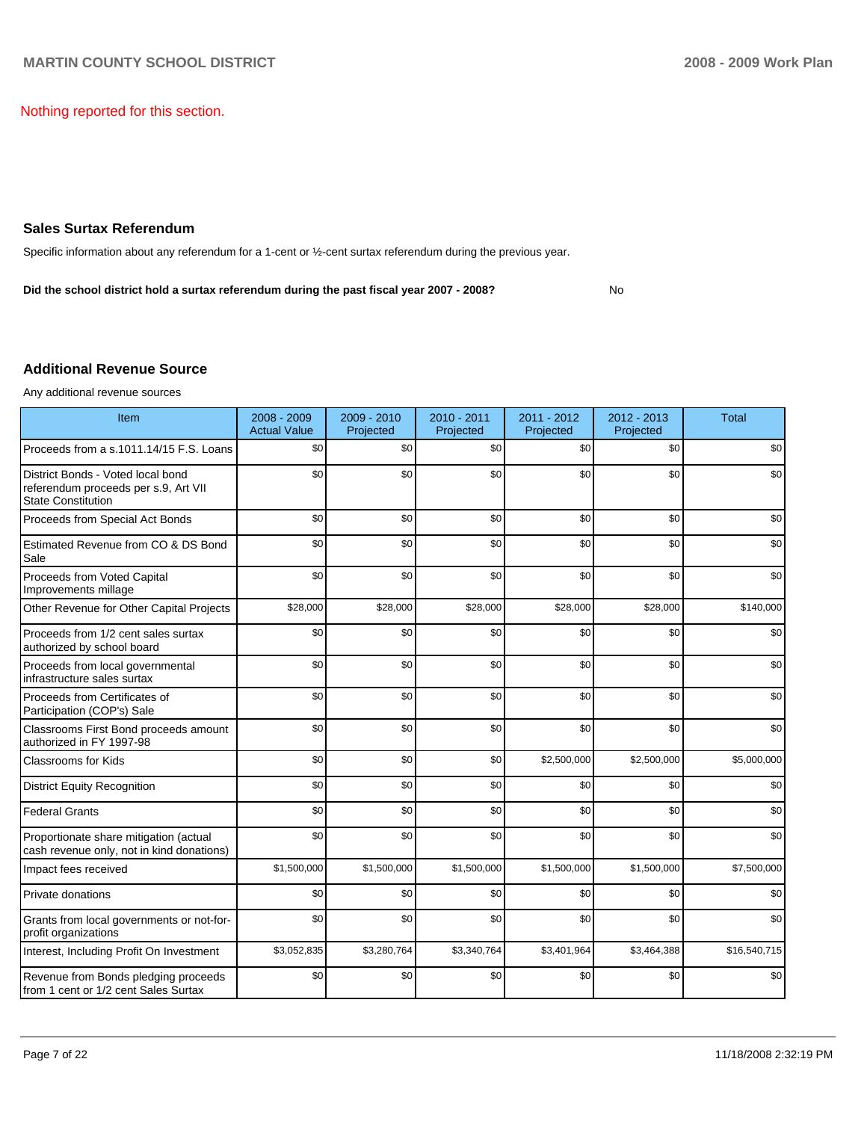Nothing reported for this section.

### **Sales Surtax Referendum**

Specific information about any referendum for a 1-cent or  $\frac{1}{2}$ -cent surtax referendum during the previous year.

Did the school district hold a surtax referendum during the past fiscal year 2007 - 2008?

**No** 

# **Additional Revenue Source**

Any additional revenue sources

| Item                                                                                                   | 2008 - 2009<br><b>Actual Value</b> | 2009 - 2010<br>Projected | $2010 - 2011$<br>Projected | 2011 - 2012<br>Projected | 2012 - 2013<br>Projected | <b>Total</b> |
|--------------------------------------------------------------------------------------------------------|------------------------------------|--------------------------|----------------------------|--------------------------|--------------------------|--------------|
| Proceeds from a s.1011.14/15 F.S. Loans                                                                | \$0                                | \$0                      | \$0                        | \$0                      | \$0                      | \$0          |
| District Bonds - Voted local bond<br>referendum proceeds per s.9, Art VII<br><b>State Constitution</b> | \$0                                | \$0                      | \$0                        | \$0                      | \$0                      | \$0          |
| Proceeds from Special Act Bonds                                                                        | \$0                                | \$0                      | \$0                        | \$0                      | \$0                      | \$0          |
| Estimated Revenue from CO & DS Bond<br>Sale                                                            | \$0                                | \$0                      | \$0                        | \$0                      | \$0                      | \$0          |
| Proceeds from Voted Capital<br>Improvements millage                                                    | \$0                                | \$0                      | \$0                        | \$0                      | \$0                      | \$0          |
| Other Revenue for Other Capital Projects                                                               | \$28,000                           | \$28,000                 | \$28,000                   | \$28,000                 | \$28,000                 | \$140,000    |
| Proceeds from 1/2 cent sales surtax<br>authorized by school board                                      | \$0                                | \$0                      | \$0                        | \$0                      | \$0                      | \$0          |
| Proceeds from local governmental<br>infrastructure sales surtax                                        | \$0                                | \$0                      | \$0                        | \$0                      | \$0                      | \$0          |
| Proceeds from Certificates of<br>Participation (COP's) Sale                                            | \$0                                | \$0                      | \$0                        | \$0                      | \$0                      | \$0          |
| Classrooms First Bond proceeds amount<br>authorized in FY 1997-98                                      | \$0                                | \$0                      | \$0                        | \$0                      | \$0                      | \$0          |
| <b>Classrooms for Kids</b>                                                                             | \$0                                | \$0                      | \$0                        | \$2,500,000              | \$2,500,000              | \$5,000,000  |
| <b>District Equity Recognition</b>                                                                     | \$0                                | \$0                      | \$0                        | \$0                      | \$0                      | \$0          |
| <b>Federal Grants</b>                                                                                  | \$0                                | \$0                      | \$0                        | \$0                      | \$0                      | \$0          |
| Proportionate share mitigation (actual<br>cash revenue only, not in kind donations)                    | \$0                                | \$0                      | \$0                        | \$0                      | \$0                      | \$0          |
| Impact fees received                                                                                   | \$1,500,000                        | \$1,500,000              | \$1,500,000                | \$1,500,000              | \$1,500,000              | \$7,500,000  |
| Private donations                                                                                      | \$0                                | \$0                      | \$0                        | \$0                      | \$0                      | \$0          |
| Grants from local governments or not-for-<br>profit organizations                                      | \$0                                | \$0                      | \$0                        | \$0                      | \$0                      | \$0          |
| Interest, Including Profit On Investment                                                               | \$3,052,835                        | \$3,280,764              | \$3,340,764                | \$3,401,964              | \$3,464,388              | \$16,540,715 |
| Revenue from Bonds pledging proceeds<br>from 1 cent or 1/2 cent Sales Surtax                           | \$0                                | \$0                      | \$0                        | \$0                      | \$0                      | \$0          |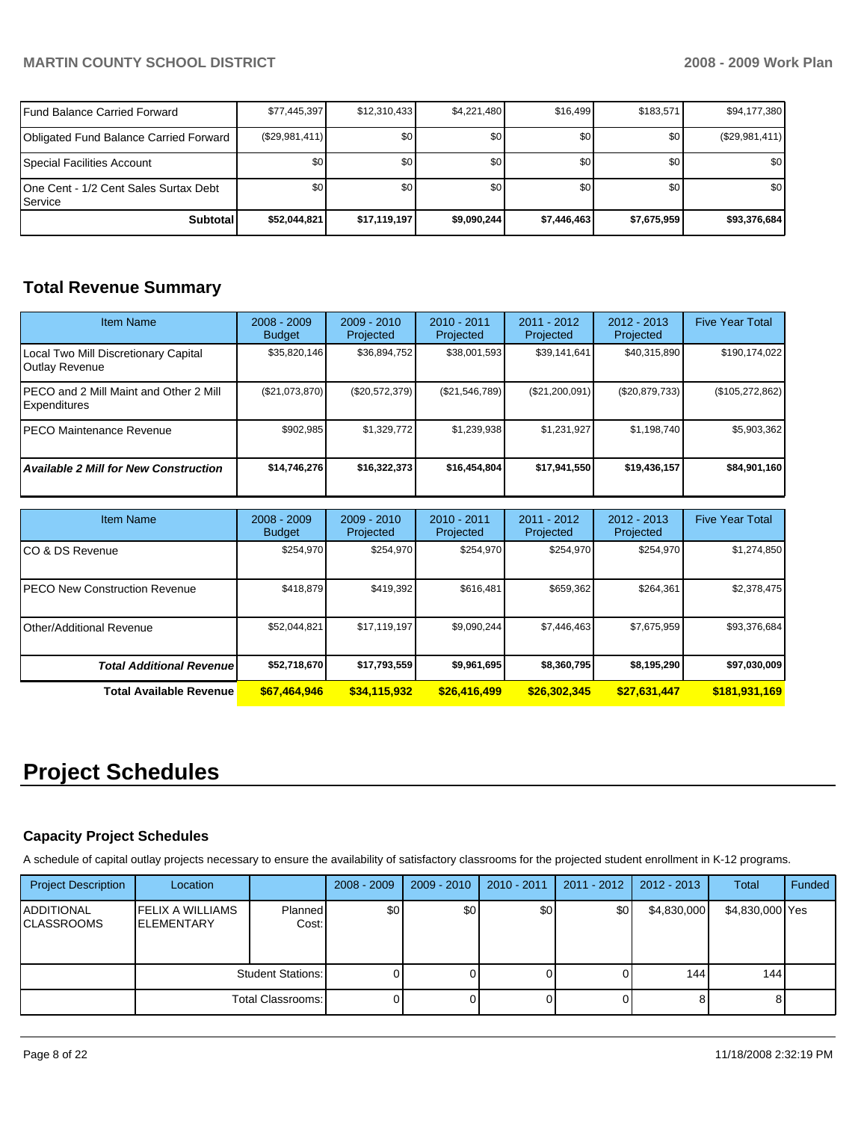# **MARTIN COUNTY SCHOOL DISTRICT 2008 - 2009 Work Plan**

| l Fund Balance Carried Forward                      | \$77,445,397     | \$12,310,433 | \$4,221,480 | \$16,499         | \$183,571   | \$94,177,380     |
|-----------------------------------------------------|------------------|--------------|-------------|------------------|-------------|------------------|
| Obligated Fund Balance Carried Forward              | (\$29,981,411)   | \$0          | \$0         | \$0 <sub>1</sub> | \$0         | $(\$29,981,411)$ |
| Special Facilities Account                          | \$0 <sub>1</sub> | \$0          | \$0         | \$0 <sub>1</sub> | \$0         | \$0 <sub>1</sub> |
| IOne Cent - 1/2 Cent Sales Surtax Debt<br>l Service | \$0 <sub>1</sub> | \$0          | \$0         | \$0 <sub>1</sub> | \$0         | \$0 <sub>1</sub> |
| <b>Subtotal</b>                                     | \$52.044.821     | \$17,119,197 | \$9,090,244 | \$7,446,463      | \$7,675,959 | \$93,376,684     |

# **Total Revenue Summary**

| Item Name                                                     | $2008 - 2009$<br><b>Budget</b> | $2009 - 2010$<br>Projected | $2010 - 2011$<br>Projected | $2011 - 2012$<br>Projected | $2012 - 2013$<br>Projected | <b>Five Year Total</b> |
|---------------------------------------------------------------|--------------------------------|----------------------------|----------------------------|----------------------------|----------------------------|------------------------|
| Local Two Mill Discretionary Capital<br><b>Outlay Revenue</b> | \$35,820,146                   | \$36,894,752               | \$38,001,593               | \$39,141,641               | \$40,315,890               | \$190,174,022          |
| IPECO and 2 Mill Maint and Other 2 Mill<br>Expenditures       | (S21,073,870)                  | $(\$20,572,379)$           | (\$21,546,789)             | (\$21,200,091)             | (\$20,879,733)             | (\$105,272,862)        |
| IPECO Maintenance Revenue                                     | \$902,985                      | \$1,329,772                | \$1,239,938                | \$1,231,927                | \$1,198,740                | \$5,903,362            |
| <b>Available 2 Mill for New Construction</b>                  | \$14,746,276                   | \$16,322,373               | \$16,454,804               | \$17.941.550               | \$19,436,157               | \$84,901,160           |

| <b>Item Name</b>                      | $2008 - 2009$<br><b>Budget</b> | $2009 - 2010$<br>Projected | $2010 - 2011$<br>Projected | $2011 - 2012$<br>Projected | $2012 - 2013$<br>Projected | <b>Five Year Total</b> |
|---------------------------------------|--------------------------------|----------------------------|----------------------------|----------------------------|----------------------------|------------------------|
| ICO & DS Revenue                      | \$254,970                      | \$254,970                  | \$254,970                  | \$254,970                  | \$254,970                  | \$1,274,850            |
| <b>IPECO New Construction Revenue</b> | \$418,879                      | \$419,392                  | \$616,481                  | \$659,362                  | \$264,361                  | \$2,378,475            |
| <b>IOther/Additional Revenue</b>      | \$52,044,821                   | \$17.119.197               | \$9,090,244                | \$7,446,463                | \$7,675,959                | \$93,376,684           |
| <b>Total Additional Revenue</b>       | \$52,718,670                   | \$17,793,559               | \$9,961,695                | \$8,360,795                | \$8,195,290                | \$97,030,009           |
| Total Available Revenue               | \$67,464,946                   | \$34,115,932               | \$26,416,499               | \$26,302,345               | \$27,631,447               | \$181,931,169          |

# **Project Schedules**

### **Capacity Project Schedules**

A schedule of capital outlay projects necessary to ensure the availability of satisfactory classrooms for the projected student enrollment in K-12 programs.

| <b>Project Description</b>             | Location                                      |                          | $2008 - 2009$ | $2009 - 2010$ | 2010 - 2011 | $2011 - 2012$ | 2012 - 2013 | Total           | Funded |
|----------------------------------------|-----------------------------------------------|--------------------------|---------------|---------------|-------------|---------------|-------------|-----------------|--------|
| <b>ADDITIONAL</b><br><b>CLASSROOMS</b> | <b>FELIX A WILLIAMS</b><br><b>IELEMENTARY</b> | Planned<br>Cost:         | \$0           | \$0           | \$0         | \$0           | \$4,830,000 | \$4,830,000 Yes |        |
|                                        |                                               | <b>Student Stations:</b> |               |               | 0           |               | 144         | 144             |        |
|                                        |                                               | Total Classrooms:        |               |               | 01          |               |             |                 |        |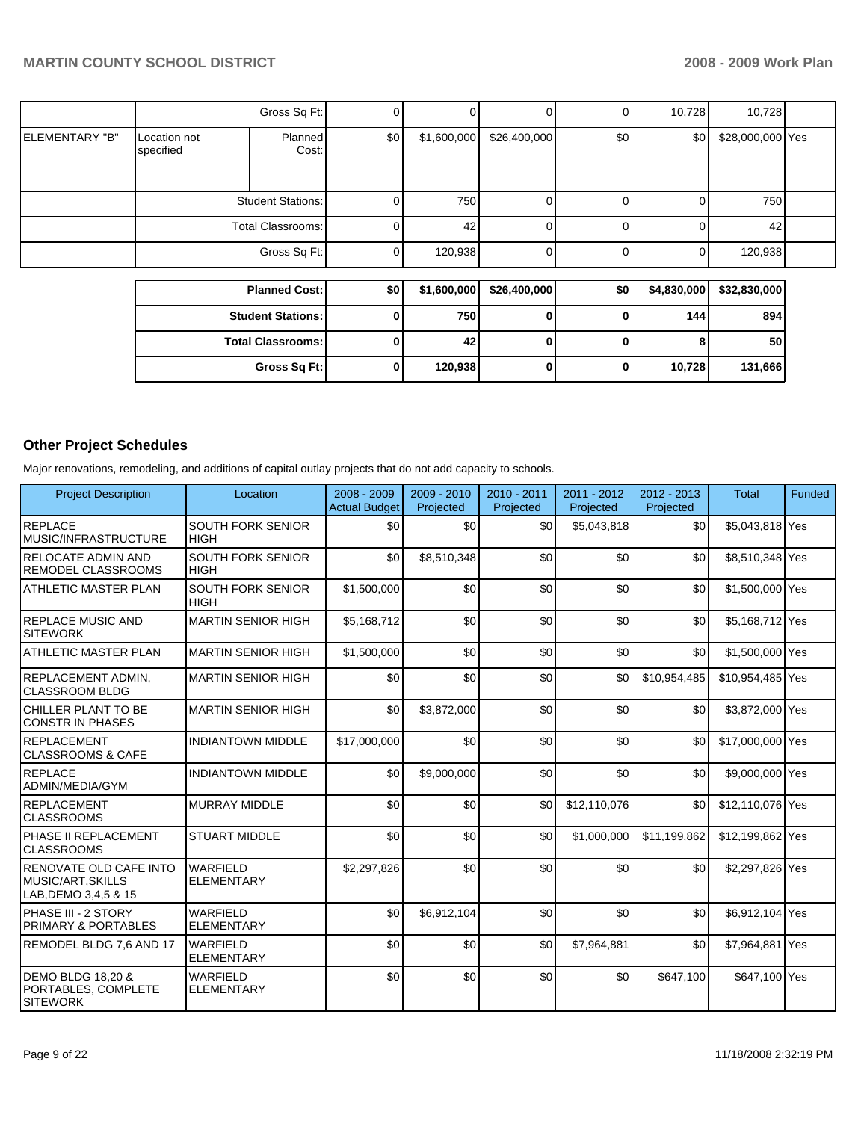|                       |                           | Gross Sq Ft:             | 0        |             |              | 0   | 10,728      | 10,728           |  |
|-----------------------|---------------------------|--------------------------|----------|-------------|--------------|-----|-------------|------------------|--|
| <b>ELEMENTARY "B"</b> | Location not<br>specified | Planned<br>Cost:         | \$0      | \$1,600,000 | \$26,400,000 | \$0 | \$0         | \$28,000,000 Yes |  |
|                       |                           | <b>Student Stations:</b> | 0        | 750         |              | 01  |             | 750              |  |
|                       |                           | Total Classrooms:        | $\Omega$ | 42          | 0            | 01  |             | 42               |  |
|                       |                           | Gross Sq Ft:             | 0        | 120,938     |              | 0   |             | 120,938          |  |
|                       |                           |                          |          |             |              |     |             |                  |  |
|                       |                           | <b>Planned Cost:</b>     | \$0      | \$1,600,000 | \$26,400,000 | \$0 | \$4,830,000 | \$32,830,000     |  |
|                       |                           | <b>Student Stations:</b> | 0        | 750         | 0            | Οl  | 144         | 894              |  |

**Total Classrooms: 0 42 0 0 0 8** 50 **Gross Sq Ft:** 0 120,938 0 0 10,728 131,666

# **Other Project Schedules**

Major renovations, remodeling, and additions of capital outlay projects that do not add capacity to schools.

| <b>Project Description</b>                                            | Location                                | $2008 - 2009$<br><b>Actual Budget</b> | $2009 - 2010$<br>Projected | $2010 - 2011$<br>Projected | $2011 - 2012$<br>Projected | $2012 - 2013$<br>Projected | Total            | Funded |
|-----------------------------------------------------------------------|-----------------------------------------|---------------------------------------|----------------------------|----------------------------|----------------------------|----------------------------|------------------|--------|
| <b>REPLACE</b><br><b>MUSIC/INFRASTRUCTURE</b>                         | SOUTH FORK SENIOR<br><b>HIGH</b>        | \$0                                   | \$0                        | \$0                        | \$5,043,818                | \$0                        | \$5,043,818 Yes  |        |
| <b>RELOCATE ADMIN AND</b><br><b>REMODEL CLASSROOMS</b>                | SOUTH FORK SENIOR<br><b>HIGH</b>        | \$0                                   | \$8,510,348                | \$0                        | \$0                        | \$0                        | \$8,510,348 Yes  |        |
| <b>ATHLETIC MASTER PLAN</b>                                           | <b>SOUTH FORK SENIOR</b><br><b>HIGH</b> | \$1,500,000                           | \$0                        | \$0                        | \$0                        | \$0                        | \$1,500,000 Yes  |        |
| <b>REPLACE MUSIC AND</b><br><b>SITEWORK</b>                           | <b>MARTIN SENIOR HIGH</b>               | \$5,168,712                           | \$0                        | \$0                        | \$0                        | \$0                        | \$5,168,712 Yes  |        |
| <b>ATHLETIC MASTER PLAN</b>                                           | <b>MARTIN SENIOR HIGH</b>               | \$1,500,000                           | \$0                        | \$0                        | \$0                        | \$0                        | \$1,500,000 Yes  |        |
| <b>REPLACEMENT ADMIN.</b><br><b>CLASSROOM BLDG</b>                    | <b>MARTIN SENIOR HIGH</b>               | \$0                                   | \$0                        | \$0                        | \$0                        | \$10,954,485               | \$10,954,485 Yes |        |
| CHILLER PLANT TO BE<br><b>CONSTR IN PHASES</b>                        | <b>MARTIN SENIOR HIGH</b>               | \$0                                   | \$3,872,000                | \$0                        | \$0                        | \$0                        | \$3,872,000 Yes  |        |
| REPLACEMENT<br><b>CLASSROOMS &amp; CAFE</b>                           | <b>INDIANTOWN MIDDLE</b>                | \$17,000,000                          | \$0                        | \$0                        | \$0                        | \$0                        | \$17,000,000 Yes |        |
| <b>REPLACE</b><br>ADMIN/MEDIA/GYM                                     | <b>INDIANTOWN MIDDLE</b>                | \$0                                   | \$9,000,000                | \$0                        | \$0                        | \$0                        | \$9,000,000 Yes  |        |
| REPLACEMENT<br><b>CLASSROOMS</b>                                      | <b>MURRAY MIDDLE</b>                    | \$0                                   | \$0                        | \$0                        | \$12,110,076               | \$0                        | \$12,110,076 Yes |        |
| PHASE II REPLACEMENT<br><b>CLASSROOMS</b>                             | <b>STUART MIDDLE</b>                    | \$0                                   | \$0                        | \$0                        | \$1,000,000                | \$11,199,862               | \$12,199,862 Yes |        |
| RENOVATE OLD CAFE INTO<br>MUSIC/ART, SKILLS<br>LAB, DEMO 3, 4, 5 & 15 | <b>WARFIELD</b><br><b>ELEMENTARY</b>    | \$2,297,826                           | \$0                        | \$0                        | \$0                        | \$0                        | \$2,297,826 Yes  |        |
| PHASE III - 2 STORY<br><b>PRIMARY &amp; PORTABLES</b>                 | <b>WARFIELD</b><br><b>ELEMENTARY</b>    | \$0                                   | \$6,912,104                | \$0                        | \$0                        | \$0                        | \$6,912,104 Yes  |        |
| REMODEL BLDG 7,6 AND 17                                               | <b>WARFIELD</b><br><b>ELEMENTARY</b>    | \$0                                   | \$0                        | \$0                        | \$7,964,881                | \$0                        | \$7,964,881 Yes  |        |
| DEMO BLDG 18,20 &<br>PORTABLES, COMPLETE<br><b>SITEWORK</b>           | <b>WARFIELD</b><br><b>ELEMENTARY</b>    | \$0                                   | \$0                        | \$0                        | \$0                        | \$647,100                  | \$647,100 Yes    |        |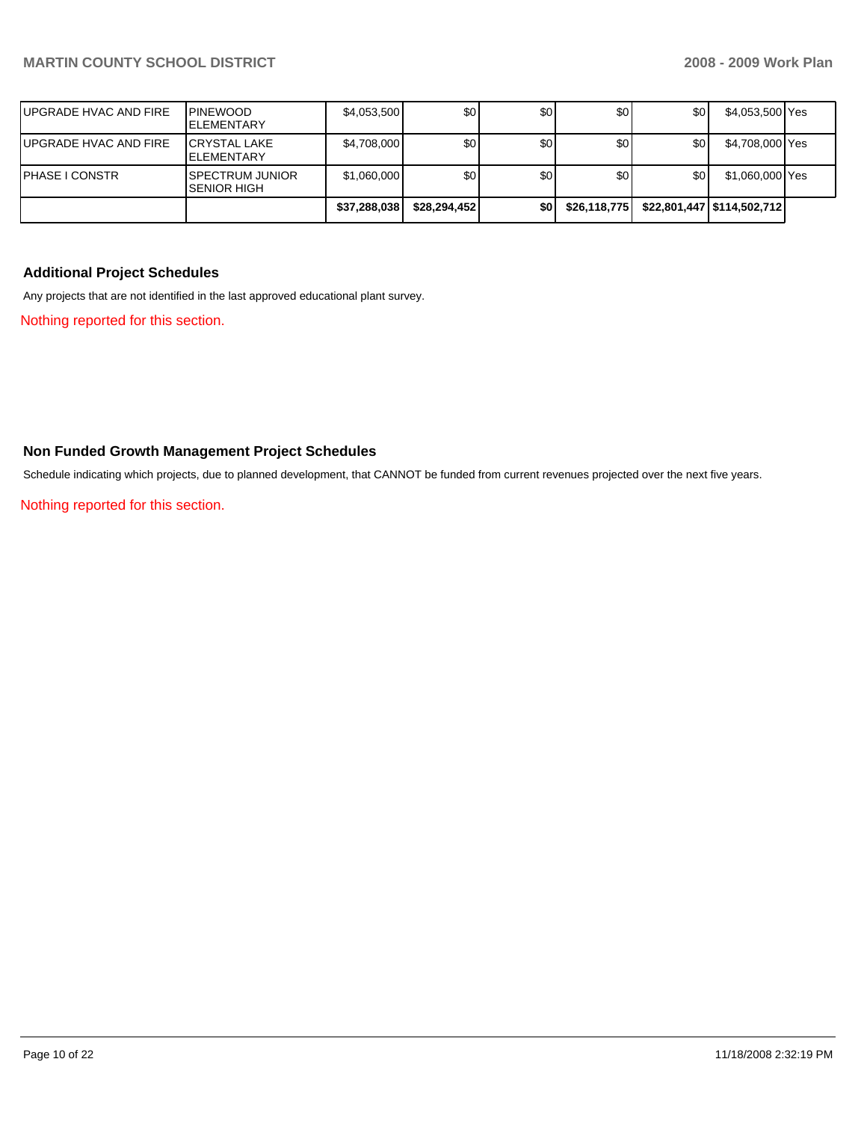|                       |                                               | \$37,288,038 | \$28,294,452 | \$0 | \$26,118,775 |     | \$22,801,447   \$114,502,712 |  |
|-----------------------|-----------------------------------------------|--------------|--------------|-----|--------------|-----|------------------------------|--|
| <b>PHASE I CONSTR</b> | <b>ISPECTRUM JUNIOR</b><br><b>SENIOR HIGH</b> | \$1,060,000  | \$0          | \$0 | \$0          | \$0 | \$1,060,000 Yes              |  |
| UPGRADE HVAC AND FIRE | <b>ICRYSTAL LAKE</b><br><b>ELEMENTARY</b>     | \$4,708,000  | \$0          | \$0 | \$0          | \$0 | \$4,708,000 Yes              |  |
| UPGRADE HVAC AND FIRE | <b>PINEWOOD</b><br><b>IELEMENTARY</b>         | \$4,053,500  | \$0          | \$0 | \$0          | \$0 | \$4,053,500 Yes              |  |

# **Additional Project Schedules**

Any projects that are not identified in the last approved educational plant survey.

Nothing reported for this section.

# **Non Funded Growth Management Project Schedules**

Schedule indicating which projects, due to planned development, that CANNOT be funded from current revenues projected over the next five years.

Nothing reported for this section.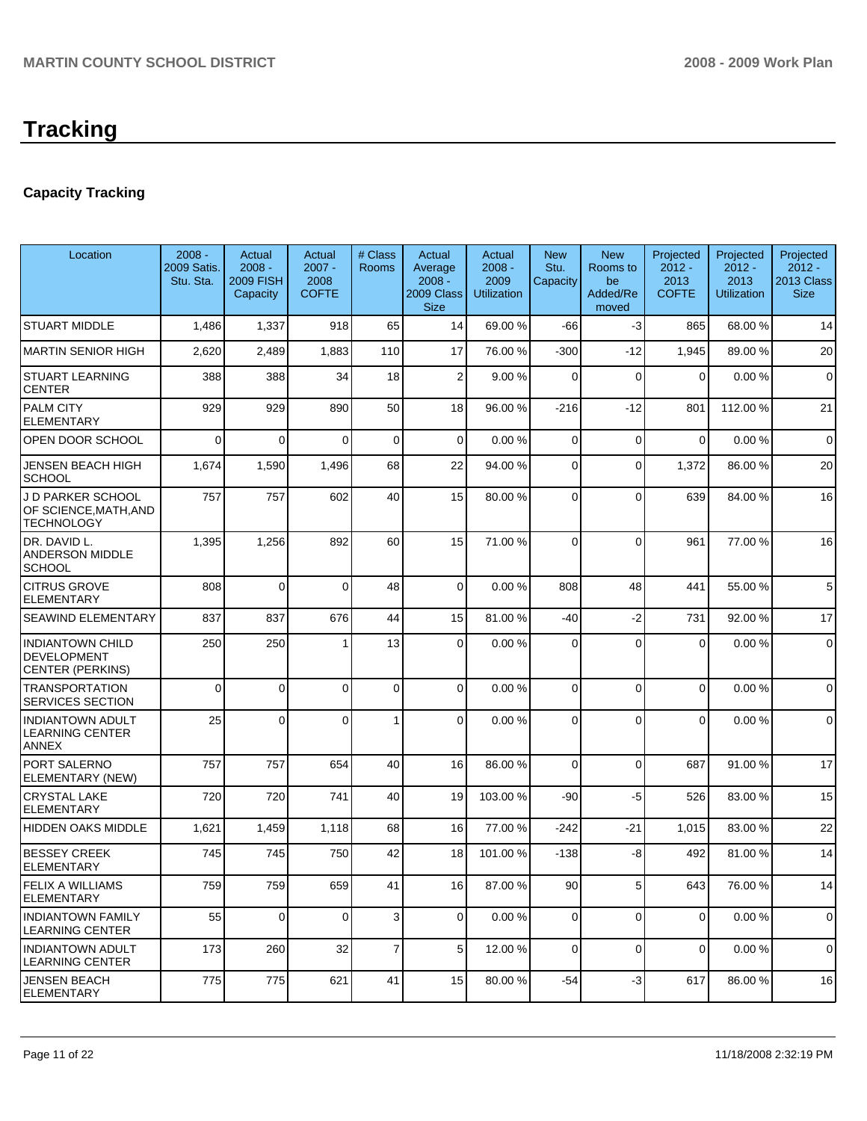# **Capacity Tracking**

| Location                                                                 | $2008 -$<br>2009 Satis.<br>Stu. Sta. | Actual<br>$2008 -$<br><b>2009 FISH</b><br>Capacity | Actual<br>$2007 -$<br>2008<br><b>COFTE</b> | # Class<br>Rooms | Actual<br>Average<br>$2008 -$<br>2009 Class<br><b>Size</b> | Actual<br>$2008 -$<br>2009<br><b>Utilization</b> | <b>New</b><br>Stu.<br>Capacity | <b>New</b><br>Rooms to<br>be<br>Added/Re<br>moved | Projected<br>$2012 -$<br>2013<br><b>COFTE</b> | Projected<br>$2012 -$<br>2013<br><b>Utilization</b> | Projected<br>$2012 -$<br>2013 Class<br><b>Size</b> |
|--------------------------------------------------------------------------|--------------------------------------|----------------------------------------------------|--------------------------------------------|------------------|------------------------------------------------------------|--------------------------------------------------|--------------------------------|---------------------------------------------------|-----------------------------------------------|-----------------------------------------------------|----------------------------------------------------|
| <b>STUART MIDDLE</b>                                                     | 1,486                                | 1,337                                              | 918                                        | 65               | 14                                                         | 69.00 %                                          | -66                            | $-3$                                              | 865                                           | 68.00 %                                             | 14                                                 |
| MARTIN SENIOR HIGH                                                       | 2,620                                | 2,489                                              | 1,883                                      | 110              | 17                                                         | 76.00 %                                          | $-300$                         | $-12$                                             | 1,945                                         | 89.00 %                                             | 20                                                 |
| <b>STUART LEARNING</b><br><b>CENTER</b>                                  | 388                                  | 388                                                | 34                                         | 18               | $\overline{2}$                                             | 9.00 %                                           | $\Omega$                       | $\mathbf 0$                                       | $\mathbf 0$                                   | 0.00%                                               | $\mathbf 0$                                        |
| PALM CITY<br><b>ELEMENTARY</b>                                           | 929                                  | 929                                                | 890                                        | 50               | 18                                                         | 96.00 %                                          | $-216$                         | $-12$                                             | 801                                           | 112.00 %                                            | 21                                                 |
| OPEN DOOR SCHOOL                                                         | $\Omega$                             | $\Omega$                                           | $\Omega$                                   | 0                | $\mathbf 0$                                                | 0.00%                                            | $\mathbf 0$                    | $\mathbf 0$                                       | $\mathbf 0$                                   | 0.00%                                               | $\mathbf 0$                                        |
| <b>JENSEN BEACH HIGH</b><br>SCHOOL                                       | 1,674                                | 1,590                                              | 1,496                                      | 68               | 22                                                         | 94.00 %                                          | $\mathbf 0$                    | $\Omega$                                          | 1,372                                         | 86.00 %                                             | 20                                                 |
| J D PARKER SCHOOL<br>OF SCIENCE, MATH, AND<br>TECHNOLOGY                 | 757                                  | 757                                                | 602                                        | 40               | 15                                                         | 80.00 %                                          | $\Omega$                       | $\Omega$                                          | 639                                           | 84.00 %                                             | 16                                                 |
| DR. DAVID L.<br>ANDERSON MIDDLE<br><b>SCHOOL</b>                         | 1,395                                | 1,256                                              | 892                                        | 60               | 15                                                         | 71.00 %                                          | $\Omega$                       | $\Omega$                                          | 961                                           | 77.00 %                                             | 16                                                 |
| <b>CITRUS GROVE</b><br><b>ELEMENTARY</b>                                 | 808                                  | $\mathbf 0$                                        | $\Omega$                                   | 48               | $\overline{0}$                                             | 0.00%                                            | 808                            | 48                                                | 441                                           | 55.00 %                                             | 5                                                  |
| SEAWIND ELEMENTARY                                                       | 837                                  | 837                                                | 676                                        | 44               | 15                                                         | 81.00%                                           | $-40$                          | $-2$                                              | 731                                           | 92.00 %                                             | 17                                                 |
| <b>INDIANTOWN CHILD</b><br><b>DEVELOPMENT</b><br><b>CENTER (PERKINS)</b> | 250                                  | 250                                                |                                            | 13               | $\Omega$                                                   | 0.00%                                            | $\Omega$                       | $\Omega$                                          | 0                                             | 0.00%                                               | $\pmb{0}$                                          |
| <b>TRANSPORTATION</b><br>SERVICES SECTION                                | 0                                    | 0                                                  | $\Omega$                                   | 0                | $\overline{0}$                                             | 0.00%                                            | $\Omega$                       | $\mathbf{0}$                                      | $\overline{0}$                                | 0.00%                                               | $\mathbf 0$                                        |
| <b>INDIANTOWN ADULT</b><br><b>LEARNING CENTER</b><br>ANNEX               | 25                                   | $\Omega$                                           | $\Omega$                                   | 1                | $\Omega$                                                   | 0.00%                                            | $\Omega$                       | $\Omega$                                          | 0                                             | 0.00%                                               | $\mathbf 0$                                        |
| PORT SALERNO<br>ELEMENTARY (NEW)                                         | 757                                  | 757                                                | 654                                        | 40               | 16                                                         | 86.00 %                                          | $\Omega$                       | $\mathbf{0}$                                      | 687                                           | 91.00 %                                             | 17                                                 |
| <b>CRYSTAL LAKE</b><br>ELEMENTARY                                        | 720                                  | 720                                                | 741                                        | 40               | 19                                                         | 103.00 %                                         | $-90$                          | -5                                                | 526                                           | 83.00 %                                             | 15                                                 |
| <b>HIDDEN OAKS MIDDLE</b>                                                | 1,621                                | 1,459                                              | 1,118                                      | 68               | 16                                                         | 77.00 %                                          | $-242$                         | $-21$                                             | 1,015                                         | 83.00 %                                             | 22                                                 |
| <b>BESSEY CREEK</b><br>ELEMENTARY                                        | 745                                  | 745                                                | 750                                        | 42               | 18                                                         | 101.00 %                                         | $-138$                         | -8                                                | 492                                           | 81.00 %                                             | 14                                                 |
| <b>FELIX A WILLIAMS</b><br><b>ELEMENTARY</b>                             | 759                                  | 759                                                | 659                                        | 41               | 16                                                         | 87.00 %                                          | 90                             | 5                                                 | 643                                           | 76.00 %                                             | 14                                                 |
| <b>INDIANTOWN FAMILY</b><br><b>LEARNING CENTER</b>                       | 55                                   | 0                                                  | $\Omega$                                   | 3                | $\overline{0}$                                             | 0.00%                                            | $\mathbf{0}$                   | 0                                                 | $\overline{0}$                                | 0.00%                                               | $\mathbf 0$                                        |
| <b>INDIANTOWN ADULT</b><br>LEARNING CENTER                               | 173                                  | 260                                                | 32                                         | 7                | 5                                                          | 12.00 %                                          | $\mathbf 0$                    | $\mathbf 0$                                       | $\mathbf 0$                                   | 0.00%                                               | $\mathbf 0$                                        |
| JENSEN BEACH<br><b>ELEMENTARY</b>                                        | 775                                  | 775                                                | 621                                        | 41               | 15                                                         | 80.00 %                                          | -54                            | -3                                                | 617                                           | 86.00 %                                             | 16                                                 |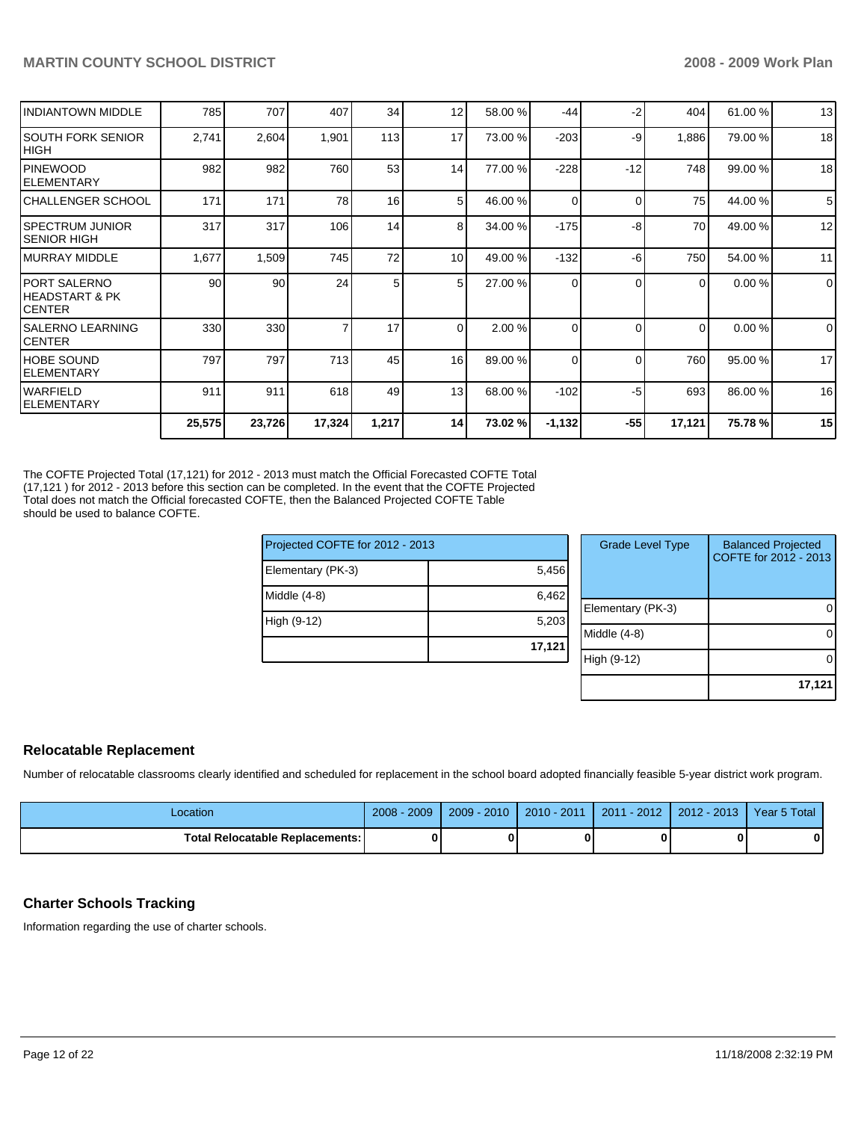|                                                   | 25,575 | 23,726 | 17,324 | 1,217 | 14       | 73.02 % | $-1,132$ | $-55$    | 17,121 | 75.78 % | 15          |
|---------------------------------------------------|--------|--------|--------|-------|----------|---------|----------|----------|--------|---------|-------------|
| <b>WARFIELD</b><br><b>ELEMENTARY</b>              | 911    | 911    | 618    | 49    | 13       | 68.00 % | $-102$   | -5       | 693    | 86.00 % | 16          |
| <b>IHOBE SOUND</b><br> ELEMENTARY                 | 797    | 797    | 713    | 45    | 16       | 89.00 % | 0        | $\Omega$ | 760    | 95.00 % | 17          |
| <b>SALERNO LEARNING</b><br>ICENTER                | 330    | 330    |        | 17    | $\Omega$ | 2.00 %  | 0        | $\Omega$ | 0      | 0.00%   | $\mathbf 0$ |
| IPORT SALERNO<br>IHEADSTART & PK<br><b>CENTER</b> | 90     | 90     | 24     | 5     | 5        | 27.00 % | 0        | $\Omega$ | 0      | 0.00%   | $\mathbf 0$ |
| IMURRAY MIDDLE                                    | 1,677  | 1,509  | 745    | 72    | 10       | 49.00 % | $-132$   | -6       | 750    | 54.00 % | 11          |
| <b>ISPECTRUM JUNIOR</b><br><b>SENIOR HIGH</b>     | 317    | 317    | 106    | 14    | 8        | 34.00 % | $-175$   | -8       | 70     | 49.00 % | 12          |
| ICHALLENGER SCHOOL                                | 171    | 171    | 78     | 16    | 5        | 46.00 % | 0        | $\Omega$ | 75     | 44.00 % | 5           |
| <b>IPINEWOOD</b><br><b>IELEMENTARY</b>            | 982    | 982    | 760    | 53    | 14       | 77.00 % | $-228$   | $-12$    | 748    | 99.00 % | 18          |
| ISOUTH FORK SENIOR<br> HIGH                       | 2,741  | 2,604  | 1,901  | 113   | 17       | 73.00 % | $-203$   | -9       | 1,886  | 79.00 % | 18          |
| <b>INDIANTOWN MIDDLE</b>                          | 785    | 707    | 407    | 34    | 12       | 58.00 % | $-44$    | $-2$     | 404    | 61.00 % | 13          |

The COFTE Projected Total (17,121) for 2012 - 2013 must match the Official Forecasted COFTE Total (17,121 ) for 2012 - 2013 before this section can be completed. In the event that the COFTE Projected Total does not match the Official forecasted COFTE, then the Balanced Projected COFTE Table should be used to balance COFTE.

| Projected COFTE for 2012 - 2013 |        | <b>Grade Level Type</b> | <b>Balanced Projected</b><br>COFTE for 2012 - 2013 |
|---------------------------------|--------|-------------------------|----------------------------------------------------|
| Elementary (PK-3)               | 5,456  |                         |                                                    |
| Middle (4-8)                    | 6,462  |                         |                                                    |
|                                 |        | Elementary (PK-3)       | $\overline{0}$                                     |
| High (9-12)                     | 5,203  |                         |                                                    |
|                                 | 17,121 | $Middle (4-8)$          | $\Omega$                                           |
|                                 |        | High (9-12)             | $\overline{0}$                                     |
|                                 |        |                         |                                                    |

## **Relocatable Replacement**

Number of relocatable classrooms clearly identified and scheduled for replacement in the school board adopted financially feasible 5-year district work program.

| Location                               | 2009<br>2008 | $2009 - 2010$ | $2010 - 2011$ | $2011 - 2012$ 2012 - 2013 | Year 5 Total |
|----------------------------------------|--------------|---------------|---------------|---------------------------|--------------|
| <b>Total Relocatable Replacements:</b> |              |               |               | ŋ                         | 0            |

## **Charter Schools Tracking**

Information regarding the use of charter schools.

**17,121**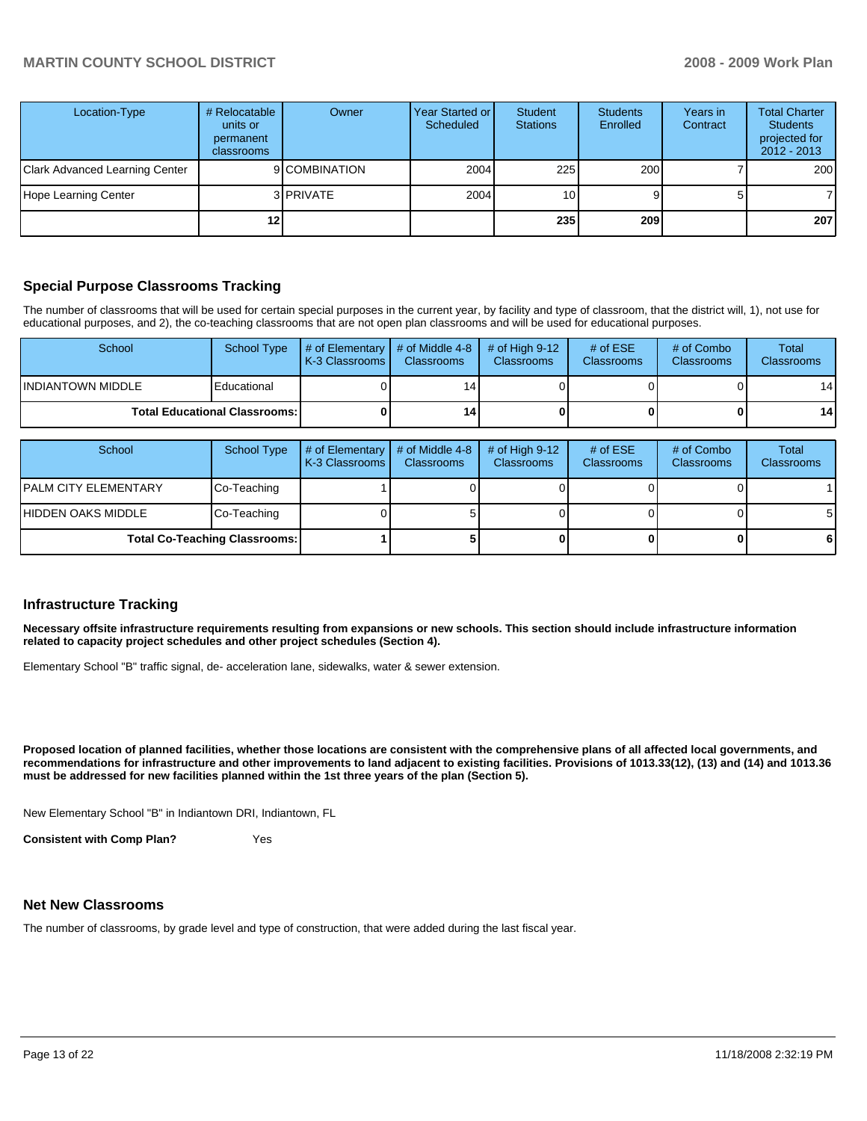| Location-Type                  | # Relocatable<br>units or<br>permanent<br>classrooms | Owner            | <b>Year Started or</b><br>Scheduled | Student<br><b>Stations</b> | <b>Students</b><br>Enrolled | Years in<br>Contract | <b>Total Charter</b><br><b>Students</b><br>projected for<br>$2012 - 2013$ |
|--------------------------------|------------------------------------------------------|------------------|-------------------------------------|----------------------------|-----------------------------|----------------------|---------------------------------------------------------------------------|
| Clark Advanced Learning Center |                                                      | 9 COMBINATION    | 2004                                | 225                        | 200                         |                      | 200                                                                       |
| Hope Learning Center           |                                                      | 3 <b>PRIVATE</b> | 2004                                | 10 <sub>1</sub>            |                             |                      |                                                                           |
|                                |                                                      |                  |                                     | 235                        | 209                         |                      | 207                                                                       |

## **Special Purpose Classrooms Tracking**

The number of classrooms that will be used for certain special purposes in the current year, by facility and type of classroom, that the district will, 1), not use for educational purposes, and 2), the co-teaching classrooms that are not open plan classrooms and will be used for educational purposes.

| School             | School Type                            | $\parallel$ # of Elementary $\parallel$ # of Middle 4-8 $\parallel$<br><b>K-3 Classrooms</b> | <b>Classrooms</b> | $\#$ of High 9-12<br><b>Classrooms</b> | # of $ESE$<br>Classrooms | # of Combo<br><b>Classrooms</b> | Total<br><b>Classrooms</b> |
|--------------------|----------------------------------------|----------------------------------------------------------------------------------------------|-------------------|----------------------------------------|--------------------------|---------------------------------|----------------------------|
| IINDIANTOWN MIDDLE | Educational                            |                                                                                              | 14                |                                        |                          |                                 | 14 <sup>1</sup>            |
|                    | <b>Total Educational Classrooms: I</b> |                                                                                              | 14                |                                        |                          |                                 | 14 <sup>1</sup>            |

| School                               | School Type | $\#$ of Elementary $\#$ of Middle 4-8<br>  K-3 Classrooms | <b>Classrooms</b> | # of High $9-12$<br><b>Classrooms</b> | # of $ESE$<br><b>Classrooms</b> | # of Combo<br><b>Classrooms</b> | Total<br><b>Classrooms</b> |
|--------------------------------------|-------------|-----------------------------------------------------------|-------------------|---------------------------------------|---------------------------------|---------------------------------|----------------------------|
| <b>IPALM CITY ELEMENTARY</b>         | Co-Teaching |                                                           |                   |                                       |                                 |                                 |                            |
| IHIDDEN OAKS MIDDLE                  | Co-Teaching |                                                           |                   |                                       |                                 |                                 | $5\overline{)}$            |
| <b>Total Co-Teaching Classrooms:</b> |             |                                                           |                   |                                       |                                 |                                 | $6 \mid$                   |

### **Infrastructure Tracking**

**Necessary offsite infrastructure requirements resulting from expansions or new schools. This section should include infrastructure information related to capacity project schedules and other project schedules (Section 4).** 

Elementary School "B" traffic signal, de- acceleration lane, sidewalks, water & sewer extension.

**Proposed location of planned facilities, whether those locations are consistent with the comprehensive plans of all affected local governments, and recommendations for infrastructure and other improvements to land adjacent to existing facilities. Provisions of 1013.33(12), (13) and (14) and 1013.36 must be addressed for new facilities planned within the 1st three years of the plan (Section 5).** 

New Elementary School "B" in Indiantown DRI, Indiantown, FL

**Consistent with Comp Plan?** Yes

### **Net New Classrooms**

The number of classrooms, by grade level and type of construction, that were added during the last fiscal year.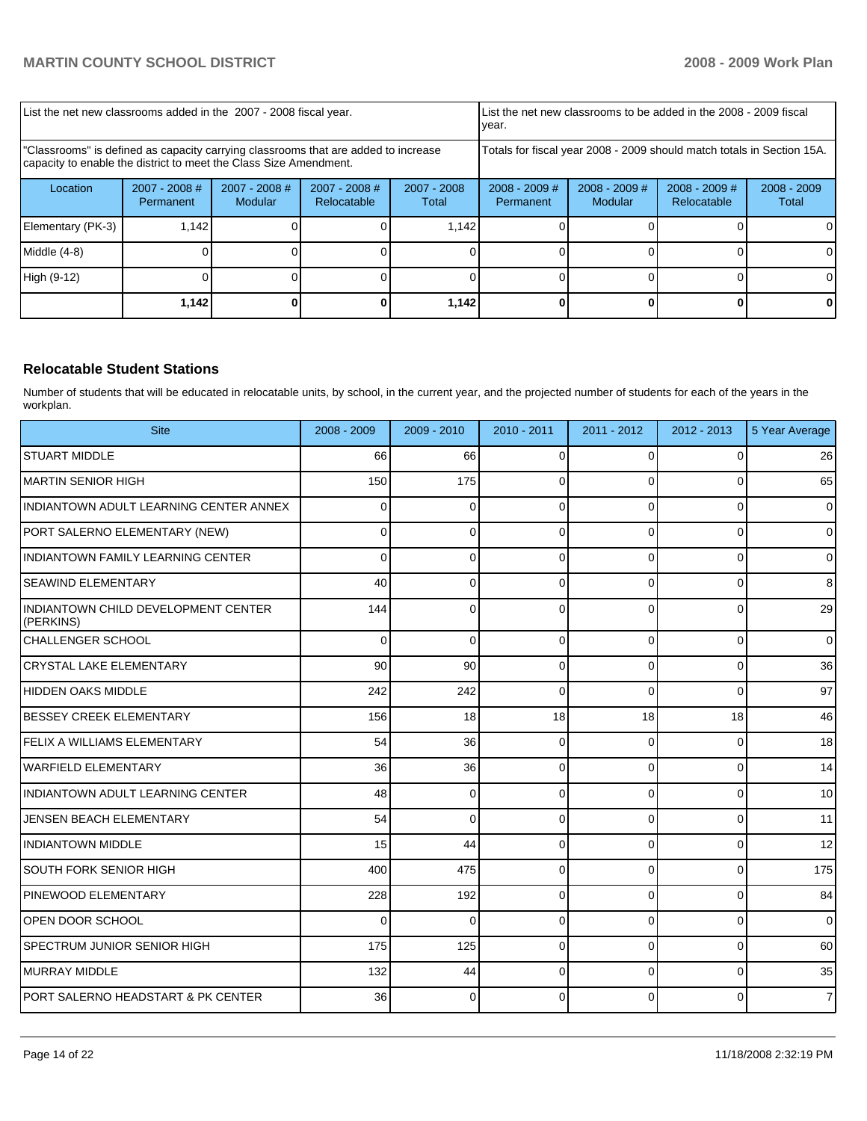| List the net new classrooms added in the 2007 - 2008 fiscal year.                                                                                       |                            |                            |                                                          | year.                                                                  |  | List the net new classrooms to be added in the 2008 - 2009 fiscal |                                |                        |
|---------------------------------------------------------------------------------------------------------------------------------------------------------|----------------------------|----------------------------|----------------------------------------------------------|------------------------------------------------------------------------|--|-------------------------------------------------------------------|--------------------------------|------------------------|
| "Classrooms" is defined as capacity carrying classrooms that are added to increase<br>capacity to enable the district to meet the Class Size Amendment. |                            |                            |                                                          | Totals for fiscal year 2008 - 2009 should match totals in Section 15A. |  |                                                                   |                                |                        |
| Location                                                                                                                                                | 2007 - 2008 #<br>Permanent | $2007 - 2008$ #<br>Modular | $2007 - 2008$ #<br>$2007 - 2008$<br>Relocatable<br>Total |                                                                        |  | $2008 - 2009$ #<br>Modular                                        | $2008 - 2009$ #<br>Relocatable | $2008 - 2009$<br>Total |
| Elementary (PK-3)                                                                                                                                       | 1.142                      |                            |                                                          | 1.142                                                                  |  |                                                                   |                                |                        |
| Middle (4-8)                                                                                                                                            |                            |                            |                                                          |                                                                        |  |                                                                   |                                |                        |
| High (9-12)                                                                                                                                             |                            |                            |                                                          |                                                                        |  |                                                                   |                                |                        |
|                                                                                                                                                         | 1,142                      |                            |                                                          | 1,142                                                                  |  |                                                                   |                                |                        |

## **Relocatable Student Stations**

Number of students that will be educated in relocatable units, by school, in the current year, and the projected number of students for each of the years in the workplan.

| <b>Site</b>                                      | $2008 - 2009$ | $2009 - 2010$ | $2010 - 2011$ | $2011 - 2012$ | $2012 - 2013$  | 5 Year Average |
|--------------------------------------------------|---------------|---------------|---------------|---------------|----------------|----------------|
| <b>STUART MIDDLE</b>                             | 66            | 66            | $\Omega$      | $\Omega$      | $\Omega$       | 26             |
| <b>MARTIN SENIOR HIGH</b>                        | 150           | 175           | $\Omega$      | $\Omega$      | $\overline{0}$ | 65             |
| INDIANTOWN ADULT LEARNING CENTER ANNEX           | $\Omega$      | $\Omega$      | $\Omega$      | $\Omega$      | $\Omega$       | $\overline{0}$ |
| PORT SALERNO ELEMENTARY (NEW)                    | 0             | 0             | $\Omega$      | $\Omega$      | $\Omega$       | $\overline{0}$ |
| INDIANTOWN FAMILY LEARNING CENTER                | $\Omega$      | 0             | $\Omega$      | $\Omega$      | 0              | $\mathbf 0$    |
| <b>SEAWIND ELEMENTARY</b>                        | 40            | $\mathbf 0$   | $\Omega$      | $\Omega$      | $\overline{0}$ | 8              |
| INDIANTOWN CHILD DEVELOPMENT CENTER<br>(PERKINS) | 144           | $\mathbf 0$   | $\Omega$      | $\Omega$      | $\overline{0}$ | 29             |
| ICHALLENGER SCHOOL                               | $\Omega$      | $\Omega$      | $\Omega$      | $\Omega$      | $\overline{0}$ | $\overline{0}$ |
| <b>CRYSTAL LAKE ELEMENTARY</b>                   | 90            | 90            | $\Omega$      | $\Omega$      | $\Omega$       | 36             |
| <b>HIDDEN OAKS MIDDLE</b>                        | 242           | 242           | $\Omega$      | $\Omega$      | $\Omega$       | 97             |
| <b>BESSEY CREEK ELEMENTARY</b>                   | 156           | 18            | 18            | 18            | 18             | 46             |
| <b>IFELIX A WILLIAMS ELEMENTARY</b>              | 54            | 36            | $\Omega$      | $\Omega$      | $\overline{0}$ | 18             |
| WARFIELD ELEMENTARY                              | 36            | 36            | $\Omega$      | $\Omega$      | $\overline{0}$ | 14             |
| INDIANTOWN ADULT LEARNING CENTER                 | 48            | $\mathbf 0$   | $\Omega$      | $\Omega$      | 0              | 10             |
| JENSEN BEACH ELEMENTARY                          | 54            | 0             | $\Omega$      | $\Omega$      | $\mathbf{0}$   | 11             |
| <b>INDIANTOWN MIDDLE</b>                         | 15            | 44            | $\Omega$      | $\Omega$      | 0              | 12             |
| SOUTH FORK SENIOR HIGH                           | 400           | 475           | $\Omega$      | $\Omega$      | $\mathbf{0}$   | 175            |
| <b>IPINEWOOD ELEMENTARY</b>                      | 228           | 192           | 0             | $\Omega$      | $\overline{0}$ | 84             |
| IOPEN DOOR SCHOOL                                | $\Omega$      | $\Omega$      | $\Omega$      | $\Omega$      | $\Omega$       | $\Omega$       |
| <b>SPECTRUM JUNIOR SENIOR HIGH</b>               | 175           | 125           | $\Omega$      | $\Omega$      | $\Omega$       | 60             |
| <b>IMURRAY MIDDLE</b>                            | 132           | 44            | $\Omega$      | $\Omega$      | $\Omega$       | 35             |
| PORT SALERNO HEADSTART & PK CENTER               | 36            | $\Omega$      | $\Omega$      | $\Omega$      | $\overline{0}$ | $\overline{7}$ |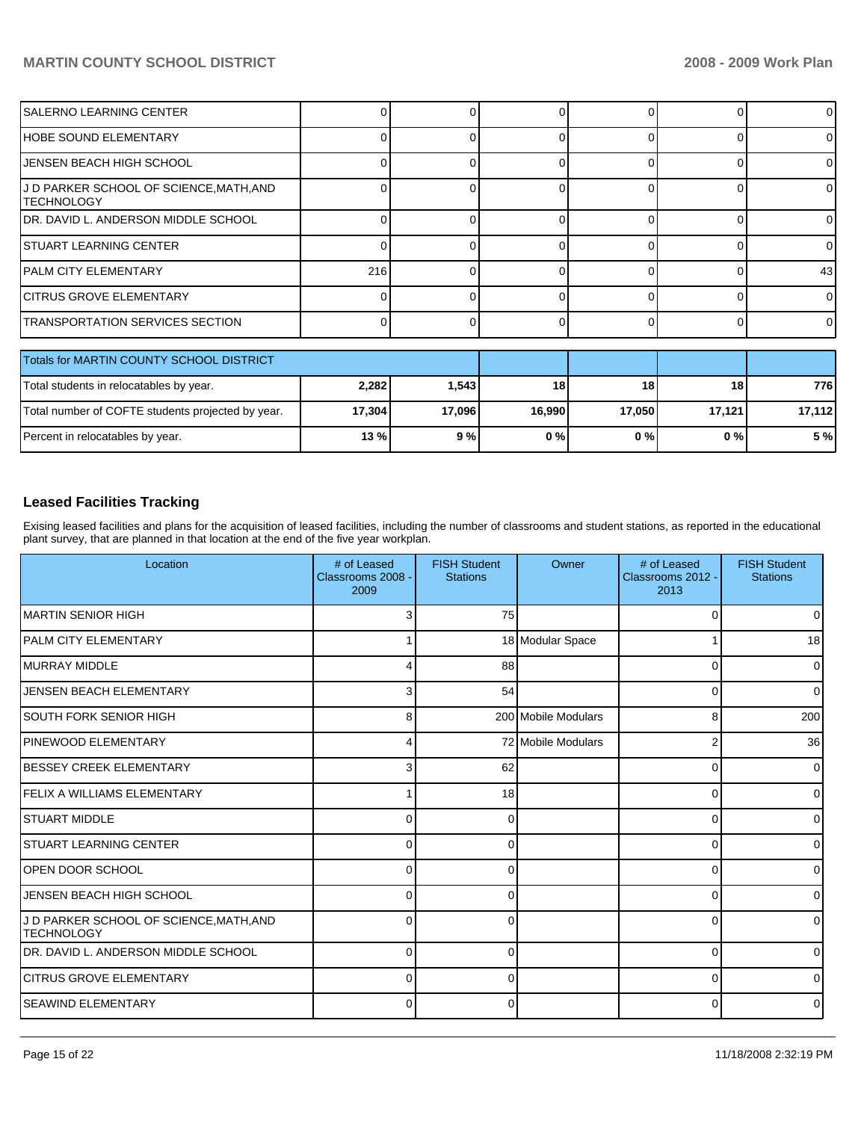| SALERNO LEARNING CENTER                              |        |        |        | <sup>0</sup> |        | $\Omega$        |
|------------------------------------------------------|--------|--------|--------|--------------|--------|-----------------|
| HOBE SOUND ELEMENTARY                                |        |        |        | $\Omega$     |        | $\Omega$        |
| JENSEN BEACH HIGH SCHOOL                             |        |        |        | $\Omega$     |        | $\Omega$        |
| J D PARKER SCHOOL OF SCIENCE,MATH,AND<br>ITECHNOLOGY |        |        |        | $\Omega$     |        | $\Omega$        |
| IDR. DAVID L. ANDERSON MIDDLE SCHOOL                 |        |        |        | $\Omega$     |        | 0               |
| ISTUART LEARNING CENTER                              |        |        |        | $\Omega$     |        | $\Omega$        |
| IPALM CITY ELEMENTARY                                | 216    |        |        | $\Omega$     |        | 43 <sub>l</sub> |
| <b>CITRUS GROVE ELEMENTARY</b>                       |        |        |        | $\Omega$     |        | $\Omega$        |
| TRANSPORTATION SERVICES SECTION                      |        |        |        | $\Omega$     |        | $\Omega$        |
| Totals for MARTIN COUNTY SCHOOL DISTRICT             |        |        |        |              |        |                 |
| Total students in relocatables by year.              | 2,282  | 1,543  | 18     | 18           | 18     | 776             |
| Total number of COFTE students projected by year.    | 17,304 | 17,096 | 16,990 | 17,050       | 17,121 | 17,112          |

# **Leased Facilities Tracking**

Exising leased facilities and plans for the acquisition of leased facilities, including the number of classrooms and student stations, as reported in the educational plant survey, that are planned in that location at the end of the five year workplan.

Percent in relocatables by year. **13 % 9 % 0 % 0 % 0 % 5 %** 

| Location                                                     | # of Leased<br>Classrooms 2008 -<br>2009 | <b>FISH Student</b><br><b>Stations</b> | Owner               | # of Leased<br>Classrooms 2012 -<br>2013 | <b>FISH Student</b><br><b>Stations</b> |
|--------------------------------------------------------------|------------------------------------------|----------------------------------------|---------------------|------------------------------------------|----------------------------------------|
| IMARTIN SENIOR HIGH                                          |                                          | 75                                     |                     | $\Omega$                                 | 0                                      |
| IPALM CITY ELEMENTARY                                        |                                          |                                        | 18 Modular Space    |                                          | 18                                     |
| <b>IMURRAY MIDDLE</b>                                        |                                          | 88                                     |                     | $\Omega$                                 | $\Omega$                               |
| <b>JENSEN BEACH ELEMENTARY</b>                               | 3                                        | 54                                     |                     | 0                                        | 0                                      |
| <b>SOUTH FORK SENIOR HIGH</b>                                | 8                                        |                                        | 200 Mobile Modulars | 8                                        | 200                                    |
| <b>PINEWOOD ELEMENTARY</b>                                   | 4                                        |                                        | 72 Mobile Modulars  | 2                                        | 36                                     |
| <b>BESSEY CREEK ELEMENTARY</b>                               | 3                                        | 62                                     |                     | 0                                        | $\Omega$                               |
| <b>IFELIX A WILLIAMS ELEMENTARY</b>                          |                                          | 18                                     |                     | $\Omega$                                 | 0                                      |
| ISTUART MIDDLE                                               | $\Omega$                                 | 0                                      |                     | $\Omega$                                 | 0                                      |
| ISTUART LEARNING CENTER                                      | $\Omega$                                 | O                                      |                     | $\Omega$                                 | $\Omega$                               |
| IOPEN DOOR SCHOOL                                            | $\Omega$                                 | $\Omega$                               |                     | $\Omega$                                 | $\Omega$                               |
| JENSEN BEACH HIGH SCHOOL                                     | $\Omega$                                 | ∩                                      |                     | 0                                        | <sup>0</sup>                           |
| J D PARKER SCHOOL OF SCIENCE, MATH, AND<br><b>TECHNOLOGY</b> | $\Omega$                                 | ∩                                      |                     | 0                                        | $\Omega$                               |
| DR. DAVID L. ANDERSON MIDDLE SCHOOL                          | 0                                        | $\Omega$                               |                     | $\Omega$                                 | $\Omega$                               |
| <b>CITRUS GROVE ELEMENTARY</b>                               | $\Omega$                                 | $\Omega$                               |                     | 0                                        | 0                                      |
| <b>SEAWIND ELEMENTARY</b>                                    | 0                                        | 0                                      |                     | 0                                        | 0                                      |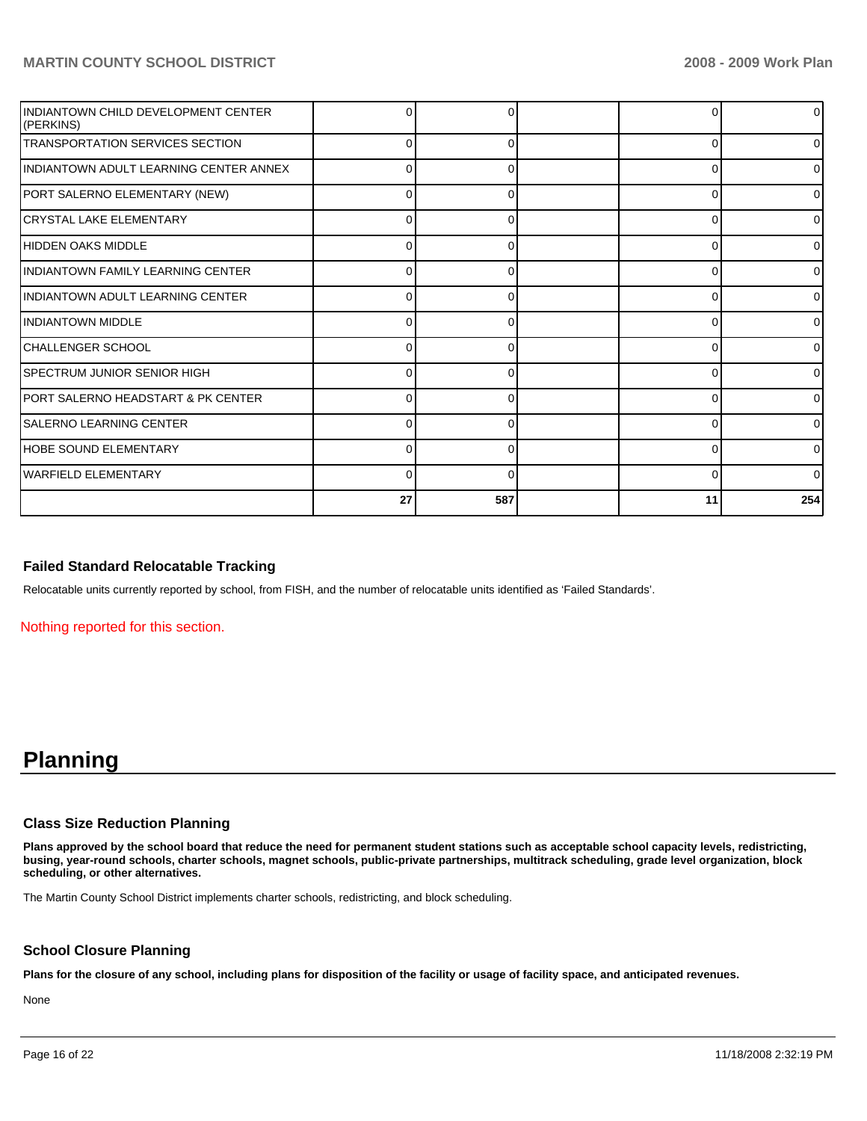| INDIANTOWN CHILD DEVELOPMENT CENTER<br>(PERKINS) |          |     |          |              |
|--------------------------------------------------|----------|-----|----------|--------------|
| <b>TRANSPORTATION SERVICES SECTION</b>           | 0        | 0   | $\Omega$ | 0            |
| IINDIANTOWN ADULT LEARNING CENTER ANNEX          | 0        | 0   | 0        | 0            |
| PORT SALERNO ELEMENTARY (NEW)                    | $\Omega$ | ∩   | $\Omega$ | <sup>0</sup> |
| ICRYSTAL LAKE ELEMENTARY                         | 0        |     | $\Omega$ |              |
| HIDDEN OAKS MIDDLE                               | 0        | ∩   | $\Omega$ | U            |
| IINDIANTOWN FAMILY LEARNING CENTER               | $\Omega$ | ∩   | 0        | <sup>0</sup> |
| IINDIANTOWN ADULT LEARNING CENTER                | $\Omega$ |     | $\Omega$ |              |
| <b>IINDIANTOWN MIDDLE</b>                        | 0        | 0   | $\Omega$ | 0            |
| ICHALLENGER SCHOOL                               | 0        | O   | 0        | <sup>0</sup> |
| <b>ISPECTRUM JUNIOR SENIOR HIGH</b>              | $\Omega$ |     | $\Omega$ |              |
| PORT SALERNO HEADSTART & PK CENTER               | 0        |     | $\Omega$ | <sup>0</sup> |
| <b>SALERNO LEARNING CENTER</b>                   | 0        | ∩   | 0        | O            |
| HOBE SOUND ELEMENTARY                            | $\Omega$ | n   | 0        | $\Omega$     |
| <b>IWARFIELD ELEMENTARY</b>                      | 0        |     | $\Omega$ | <sup>0</sup> |
|                                                  | 27       | 587 | 11       | 254          |

## **Failed Standard Relocatable Tracking**

Relocatable units currently reported by school, from FISH, and the number of relocatable units identified as 'Failed Standards'.

Nothing reported for this section.

# **Planning**

### **Class Size Reduction Planning**

**Plans approved by the school board that reduce the need for permanent student stations such as acceptable school capacity levels, redistricting, busing, year-round schools, charter schools, magnet schools, public-private partnerships, multitrack scheduling, grade level organization, block scheduling, or other alternatives.** 

The Martin County School District implements charter schools, redistricting, and block scheduling.

### **School Closure Planning**

**Plans for the closure of any school, including plans for disposition of the facility or usage of facility space, and anticipated revenues.** 

None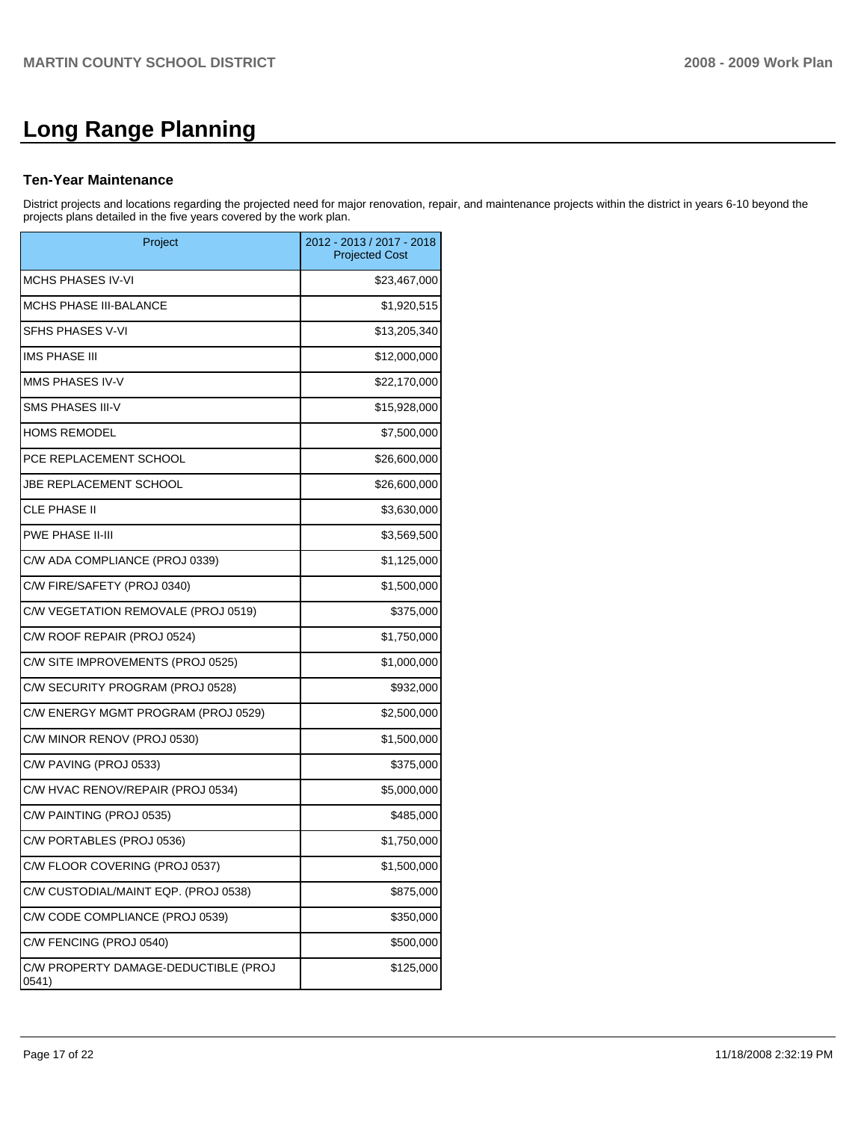# **Long Range Planning**

### **Ten-Year Maintenance**

District projects and locations regarding the projected need for major renovation, repair, and maintenance projects within the district in years 6-10 beyond the projects plans detailed in the five years covered by the work plan.

| Project                                       | 2012 - 2013 / 2017 - 2018<br><b>Projected Cost</b> |
|-----------------------------------------------|----------------------------------------------------|
| <b>MCHS PHASES IV-VI</b>                      | \$23,467,000                                       |
| <b>MCHS PHASE III-BALANCE</b>                 | \$1,920,515                                        |
| SFHS PHASES V-VI                              | \$13,205,340                                       |
| <b>IMS PHASE III</b>                          | \$12,000,000                                       |
| MMS PHASES IV-V                               | \$22,170,000                                       |
| SMS PHASES III-V                              | \$15,928,000                                       |
| <b>HOMS REMODEL</b>                           | \$7,500,000                                        |
| PCE REPLACEMENT SCHOOL                        | \$26,600,000                                       |
| <b>JBE REPLACEMENT SCHOOL</b>                 | \$26,600,000                                       |
| <b>CLE PHASE II</b>                           | \$3,630,000                                        |
| <b>PWE PHASE II-III</b>                       | \$3,569,500                                        |
| C/W ADA COMPLIANCE (PROJ 0339)                | \$1,125,000                                        |
| C/W FIRE/SAFETY (PROJ 0340)                   | \$1,500,000                                        |
| C/W VEGETATION REMOVALE (PROJ 0519)           | \$375,000                                          |
| C/W ROOF REPAIR (PROJ 0524)                   | \$1,750,000                                        |
| C/W SITE IMPROVEMENTS (PROJ 0525)             | \$1,000,000                                        |
| C/W SECURITY PROGRAM (PROJ 0528)              | \$932,000                                          |
| C/W ENERGY MGMT PROGRAM (PROJ 0529)           | \$2,500,000                                        |
| C/W MINOR RENOV (PROJ 0530)                   | \$1,500,000                                        |
| C/W PAVING (PROJ 0533)                        | \$375,000                                          |
| C/W HVAC RENOV/REPAIR (PROJ 0534)             | \$5,000,000                                        |
| C/W PAINTING (PROJ 0535)                      | \$485,000                                          |
| C/W PORTABLES (PROJ 0536)                     | \$1,750,000                                        |
| C/W FLOOR COVERING (PROJ 0537)                | \$1,500,000                                        |
| C/W CUSTODIAL/MAINT EQP. (PROJ 0538)          | \$875,000                                          |
| C/W CODE COMPLIANCE (PROJ 0539)               | \$350,000                                          |
| C/W FENCING (PROJ 0540)                       | \$500,000                                          |
| C/W PROPERTY DAMAGE-DEDUCTIBLE (PROJ<br>0541) | \$125,000                                          |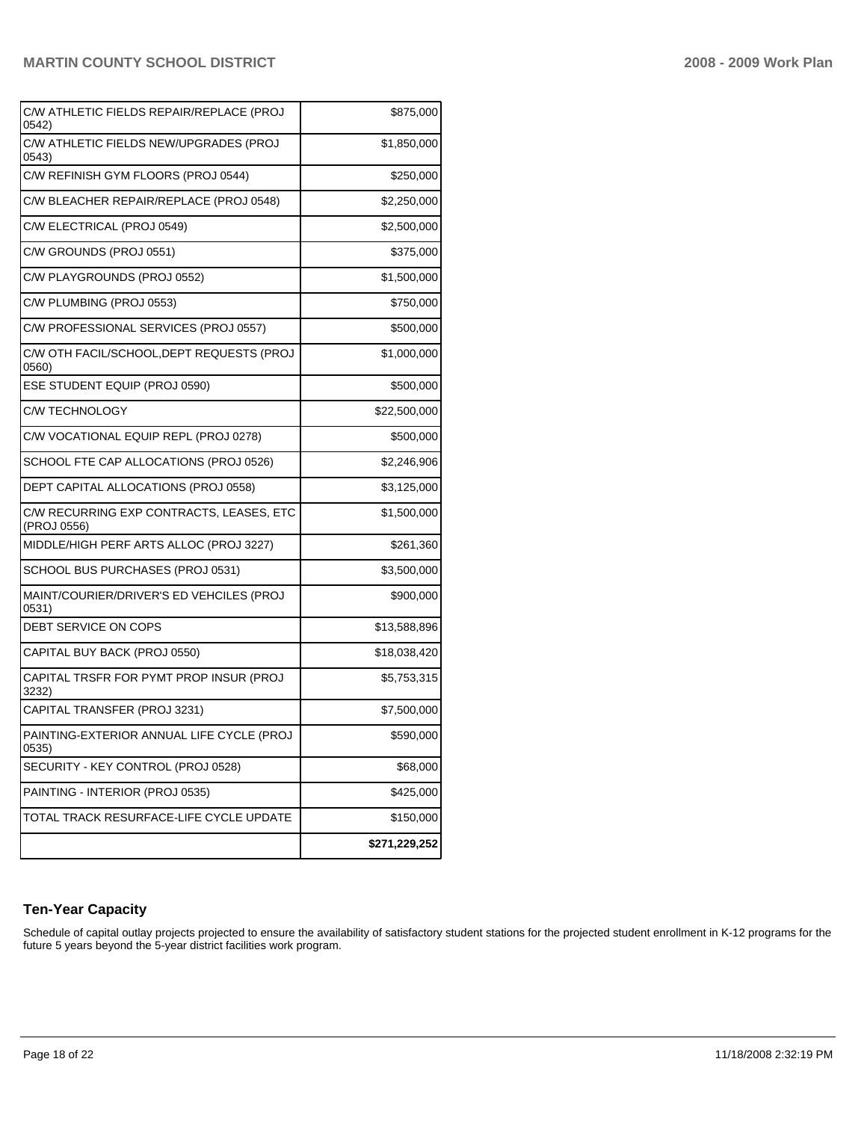| C/W ATHLETIC FIELDS REPAIR/REPLACE (PROJ<br>0542)       | \$875,000     |
|---------------------------------------------------------|---------------|
| C/W ATHLETIC FIELDS NEW/UPGRADES (PROJ<br>0543)         | \$1,850,000   |
| C/W REFINISH GYM FLOORS (PROJ 0544)                     | \$250,000     |
| C/W BLEACHER REPAIR/REPLACE (PROJ 0548)                 | \$2,250,000   |
| C/W ELECTRICAL (PROJ 0549)                              | \$2,500,000   |
| C/W GROUNDS (PROJ 0551)                                 | \$375,000     |
| C/W PLAYGROUNDS (PROJ 0552)                             | \$1,500,000   |
| C/W PLUMBING (PROJ 0553)                                | \$750,000     |
| C/W PROFESSIONAL SERVICES (PROJ 0557)                   | \$500,000     |
| C/W OTH FACIL/SCHOOL, DEPT REQUESTS (PROJ<br>0560)      | \$1,000,000   |
| ESE STUDENT EQUIP (PROJ 0590)                           | \$500,000     |
| <b>C/W TECHNOLOGY</b>                                   | \$22,500,000  |
| C/W VOCATIONAL EQUIP REPL (PROJ 0278)                   | \$500,000     |
| SCHOOL FTE CAP ALLOCATIONS (PROJ 0526)                  | \$2,246,906   |
| DEPT CAPITAL ALLOCATIONS (PROJ 0558)                    | \$3,125,000   |
| C/W RECURRING EXP CONTRACTS, LEASES, ETC<br>(PROJ 0556) | \$1,500,000   |
| MIDDLE/HIGH PERF ARTS ALLOC (PROJ 3227)                 | \$261,360     |
| SCHOOL BUS PURCHASES (PROJ 0531)                        | \$3,500,000   |
| MAINT/COURIER/DRIVER'S ED VEHCILES (PROJ<br>0531)       | \$900,000     |
| DEBT SERVICE ON COPS                                    | \$13,588,896  |
| CAPITAL BUY BACK (PROJ 0550)                            | \$18,038,420  |
| CAPITAL TRSFR FOR PYMT PROP INSUR (PROJ<br>3232)        | \$5,753,315   |
| CAPITAL TRANSFER (PROJ 3231)                            | \$7,500,000   |
| PAINTING-EXTERIOR ANNUAL LIFE CYCLE (PROJ<br>0535)      | \$590,000     |
| SECURITY - KEY CONTROL (PROJ 0528)                      | \$68,000      |
| PAINTING - INTERIOR (PROJ 0535)                         | \$425,000     |
| TOTAL TRACK RESURFACE-LIFE CYCLE UPDATE                 | \$150,000     |
|                                                         | \$271,229,252 |

# **Ten-Year Capacity**

Schedule of capital outlay projects projected to ensure the availability of satisfactory student stations for the projected student enrollment in K-12 programs for the future 5 years beyond the 5-year district facilities work program.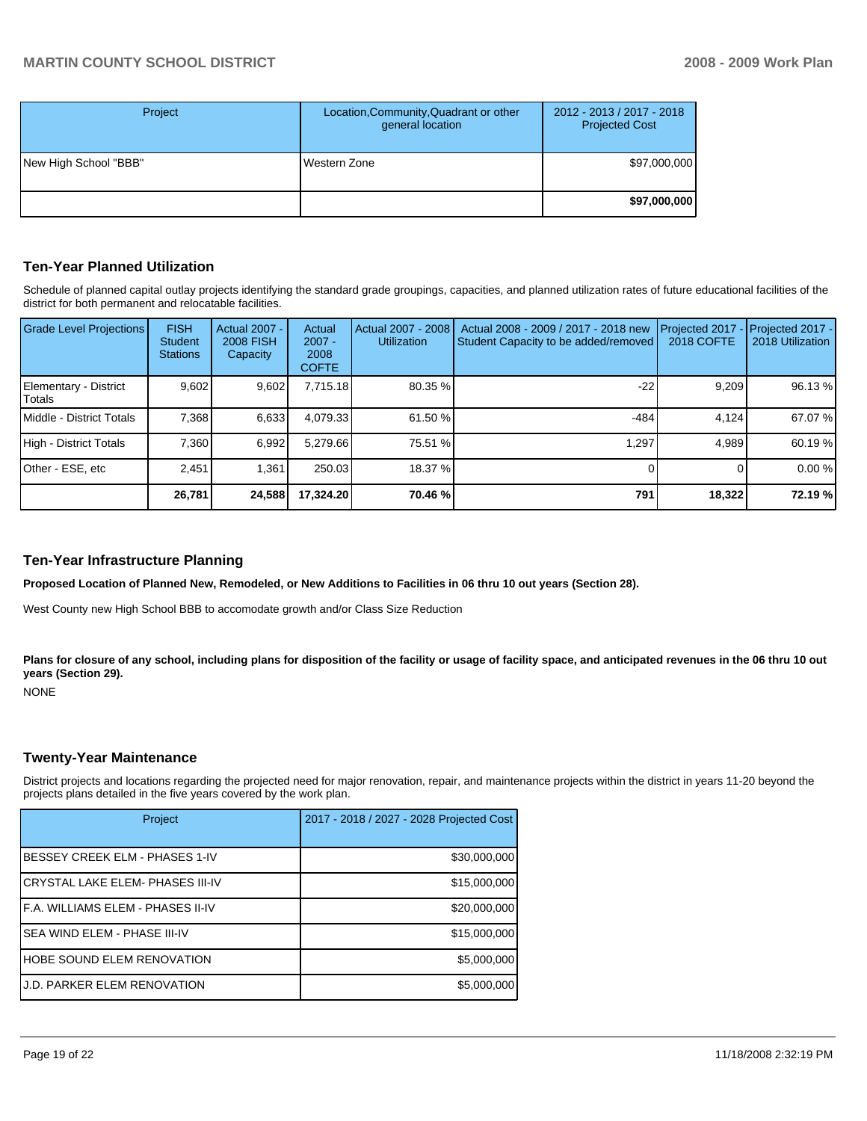| Project               | Location, Community, Quadrant or other<br>general location | 2012 - 2013 / 2017 - 2018<br><b>Projected Cost</b> |
|-----------------------|------------------------------------------------------------|----------------------------------------------------|
| New High School "BBB" | Western Zone                                               | \$97,000,000                                       |
|                       |                                                            | \$97,000,000                                       |

### **Ten-Year Planned Utilization**

Schedule of planned capital outlay projects identifying the standard grade groupings, capacities, and planned utilization rates of future educational facilities of the district for both permanent and relocatable facilities.

| <b>Grade Level Projections</b>   | <b>FISH</b><br><b>Student</b><br><b>Stations</b> | <b>Actual 2007 -</b><br><b>2008 FISH</b><br>Capacity | Actual<br>$2007 -$<br>2008<br><b>COFTE</b> | Actual 2007 - 2008<br><b>Utilization</b> | Actual 2008 - 2009 / 2017 - 2018 new<br>Student Capacity to be added/removed | <b>2018 COFTE</b> | Projected 2017 - Projected 2017 -<br>2018 Utilization |
|----------------------------------|--------------------------------------------------|------------------------------------------------------|--------------------------------------------|------------------------------------------|------------------------------------------------------------------------------|-------------------|-------------------------------------------------------|
| Elementary - District<br>ITotals | 9.602                                            | 9,602                                                | 7.715.18                                   | 80.35 %                                  | -22                                                                          | 9,209             | 96.13 %                                               |
| Middle - District Totals         | 7,368                                            | 6,633                                                | 4,079.33                                   | 61.50 %                                  | $-484$                                                                       | 4.124             | 67.07 %                                               |
| High - District Totals           | 7.360                                            | 6.992                                                | 5.279.66                                   | 75.51 %                                  | 1.297                                                                        | 4.989             | 60.19 %                                               |
| Other - ESE, etc                 | 2.451                                            | 1.361                                                | 250.03                                     | 18.37 %                                  |                                                                              |                   | 0.00%                                                 |
|                                  | 26.781                                           | 24,588                                               | 17.324.20                                  | 70.46 %                                  | 791                                                                          | 18,322            | 72.19 %                                               |

### **Ten-Year Infrastructure Planning**

**Proposed Location of Planned New, Remodeled, or New Additions to Facilities in 06 thru 10 out years (Section 28).** 

West County new High School BBB to accomodate growth and/or Class Size Reduction

Plans for closure of any school, including plans for disposition of the facility or usage of facility space, and anticipated revenues in the 06 thru 10 out **years (Section 29).** 

NONE

### **Twenty-Year Maintenance**

District projects and locations regarding the projected need for major renovation, repair, and maintenance projects within the district in years 11-20 beyond the projects plans detailed in the five years covered by the work plan.

| Project                            | 2017 - 2018 / 2027 - 2028 Projected Cost |
|------------------------------------|------------------------------------------|
| BESSEY CREEK ELM - PHASES 1-IV     | \$30,000,000                             |
| CRYSTAL LAKE ELEM- PHASES III-IV   | \$15,000,000                             |
| F.A. WILLIAMS ELEM - PHASES II-IV  | \$20,000,000                             |
| SEA WIND ELEM - PHASE III-IV       | \$15,000,000                             |
| HOBE SOUND ELEM RENOVATION         | \$5,000,000                              |
| <b>J.D. PARKER ELEM RENOVATION</b> | \$5,000,000                              |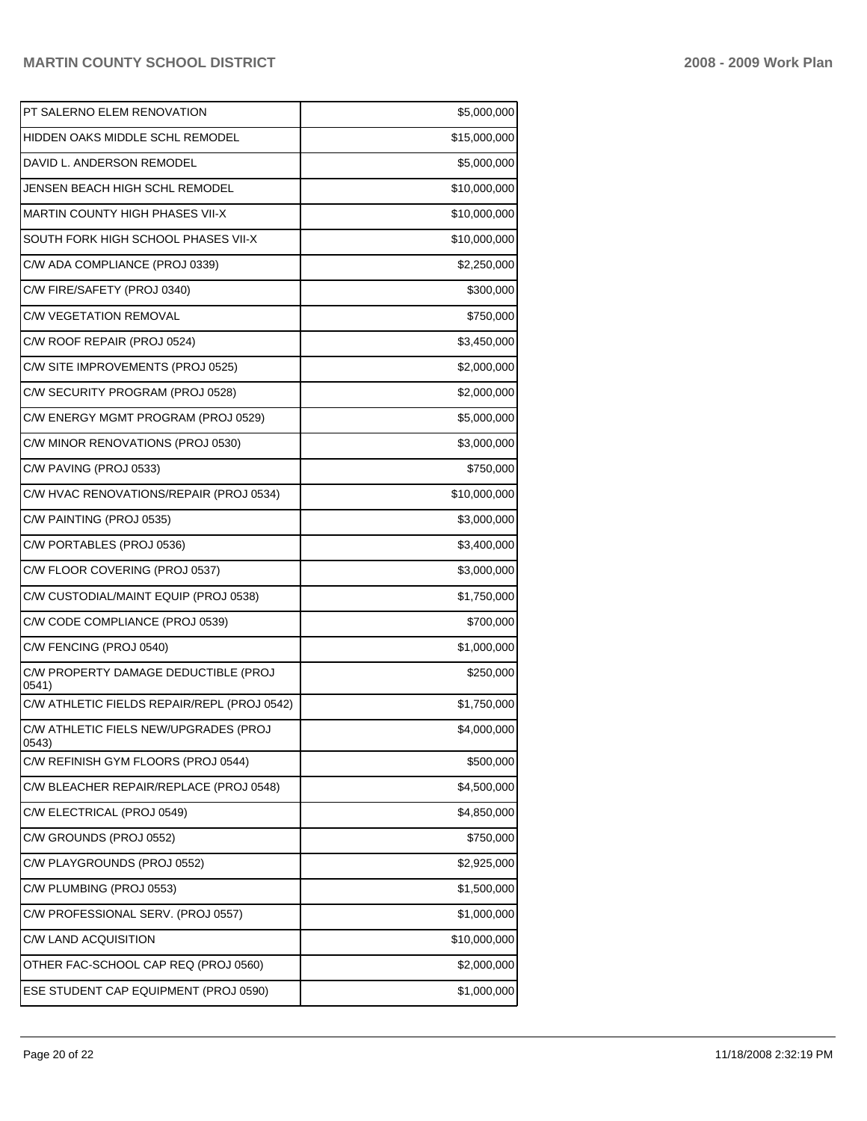| PT SALERNO ELEM RENOVATION                     | \$5,000,000  |
|------------------------------------------------|--------------|
| HIDDEN OAKS MIDDLE SCHL REMODEL                | \$15,000,000 |
| DAVID L. ANDERSON REMODEL                      | \$5,000,000  |
| JENSEN BEACH HIGH SCHL REMODEL                 | \$10,000,000 |
| MARTIN COUNTY HIGH PHASES VII-X                | \$10,000,000 |
| SOUTH FORK HIGH SCHOOL PHASES VII-X            | \$10,000,000 |
| C/W ADA COMPLIANCE (PROJ 0339)                 | \$2,250,000  |
| C/W FIRE/SAFETY (PROJ 0340)                    | \$300,000    |
| C/W VEGETATION REMOVAL                         | \$750,000    |
| C/W ROOF REPAIR (PROJ 0524)                    | \$3,450,000  |
| C/W SITE IMPROVEMENTS (PROJ 0525)              | \$2,000,000  |
| C/W SECURITY PROGRAM (PROJ 0528)               | \$2,000,000  |
| C/W ENERGY MGMT PROGRAM (PROJ 0529)            | \$5,000,000  |
| C/W MINOR RENOVATIONS (PROJ 0530)              | \$3,000,000  |
| C/W PAVING (PROJ 0533)                         | \$750,000    |
| C/W HVAC RENOVATIONS/REPAIR (PROJ 0534)        | \$10,000,000 |
| C/W PAINTING (PROJ 0535)                       | \$3,000,000  |
| C/W PORTABLES (PROJ 0536)                      | \$3,400,000  |
| C/W FLOOR COVERING (PROJ 0537)                 | \$3,000,000  |
| C/W CUSTODIAL/MAINT EQUIP (PROJ 0538)          | \$1,750,000  |
| C/W CODE COMPLIANCE (PROJ 0539)                | \$700,000    |
| C/W FENCING (PROJ 0540)                        | \$1,000,000  |
| C/W PROPERTY DAMAGE DEDUCTIBLE (PROJ<br>0541)  | \$250,000    |
| C/W ATHLETIC FIELDS REPAIR/REPL (PROJ 0542)    | \$1,750,000  |
| C/W ATHLETIC FIELS NEW/UPGRADES (PROJ<br>U543) | \$4,000,000  |
| C/W REFINISH GYM FLOORS (PROJ 0544)            | \$500,000    |
| C/W BLEACHER REPAIR/REPLACE (PROJ 0548)        | \$4,500,000  |
| C/W ELECTRICAL (PROJ 0549)                     | \$4,850,000  |
| C/W GROUNDS (PROJ 0552)                        | \$750,000    |
| C/W PLAYGROUNDS (PROJ 0552)                    | \$2,925,000  |
| C/W PLUMBING (PROJ 0553)                       | \$1,500,000  |
| C/W PROFESSIONAL SERV. (PROJ 0557)             | \$1,000,000  |
| C/W LAND ACQUISITION                           | \$10,000,000 |
| OTHER FAC-SCHOOL CAP REQ (PROJ 0560)           | \$2,000,000  |
| ESE STUDENT CAP EQUIPMENT (PROJ 0590)          | \$1,000,000  |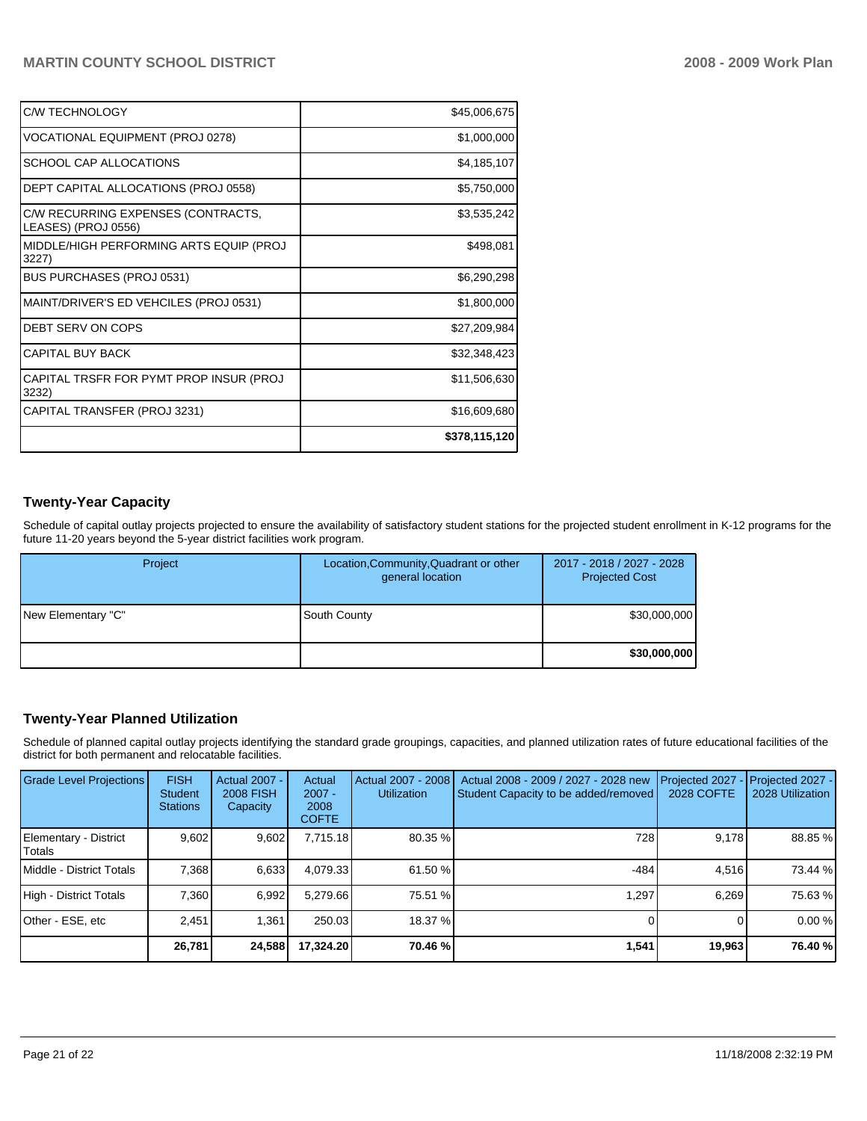| C/W TECHNOLOGY                                            | \$45,006,675  |
|-----------------------------------------------------------|---------------|
| VOCATIONAL EQUIPMENT (PROJ 0278)                          | \$1,000,000   |
| SCHOOL CAP ALLOCATIONS                                    | \$4,185,107   |
| DEPT CAPITAL ALLOCATIONS (PROJ 0558)                      | \$5,750,000   |
| C/W RECURRING EXPENSES (CONTRACTS,<br>LEASES) (PROJ 0556) | \$3,535,242   |
| MIDDLE/HIGH PERFORMING ARTS EQUIP (PROJ<br>3227)          | \$498,081     |
| <b>BUS PURCHASES (PROJ 0531)</b>                          | \$6,290,298   |
| MAINT/DRIVER'S ED VEHCILES (PROJ 0531)                    | \$1,800,000   |
| DEBT SERV ON COPS                                         | \$27,209,984  |
| <b>CAPITAL BUY BACK</b>                                   | \$32,348,423  |
| CAPITAL TRSFR FOR PYMT PROP INSUR (PROJ<br>3232)          | \$11,506,630  |
| CAPITAL TRANSFER (PROJ 3231)                              | \$16,609,680  |
|                                                           | \$378,115,120 |

# **Twenty-Year Capacity**

Schedule of capital outlay projects projected to ensure the availability of satisfactory student stations for the projected student enrollment in K-12 programs for the future 11-20 years beyond the 5-year district facilities work program.

| Project            | Location, Community, Quadrant or other<br>general location | 2017 - 2018 / 2027 - 2028<br><b>Projected Cost</b> |
|--------------------|------------------------------------------------------------|----------------------------------------------------|
| New Elementary "C" | South County                                               | \$30,000,000                                       |
|                    |                                                            | \$30,000,000                                       |

# **Twenty-Year Planned Utilization**

Schedule of planned capital outlay projects identifying the standard grade groupings, capacities, and planned utilization rates of future educational facilities of the district for both permanent and relocatable facilities.

| <b>Grade Level Projections</b>  | <b>FISH</b><br>Student<br><b>Stations</b> | Actual 2007 -<br><b>2008 FISH</b><br>Capacity | Actual<br>$2007 -$<br>2008<br><b>COFTE</b> | Actual 2007 - 2008<br><b>Utilization</b> | Actual 2008 - 2009 / 2027 - 2028 new<br>Student Capacity to be added/removed | Projected 2027<br><b>2028 COFTE</b> | Projected 2027 -<br>2028 Utilization |
|---------------------------------|-------------------------------------------|-----------------------------------------------|--------------------------------------------|------------------------------------------|------------------------------------------------------------------------------|-------------------------------------|--------------------------------------|
| Elementary - District<br>Totals | 9.602                                     | 9,602                                         | 7,715.18                                   | 80.35 %                                  | 728                                                                          | 9,178                               | 88.85 %                              |
| Middle - District Totals        | 7.368                                     | 6,633                                         | 4,079.33                                   | 61.50 %                                  | $-484$                                                                       | 4.516                               | 73.44 %                              |
| High - District Totals          | 7.360                                     | 6,992                                         | 5.279.66                                   | 75.51 %                                  | 1.297                                                                        | 6.269                               | 75.63 %                              |
| Other - ESE, etc                | 2.451                                     | 1.361                                         | 250.03                                     | 18.37 %                                  |                                                                              |                                     | 0.00%                                |
|                                 | 26,781                                    | 24,588                                        | 17,324.20                                  | 70.46 %                                  | 1,541                                                                        | 19,963                              | 76.40 %                              |